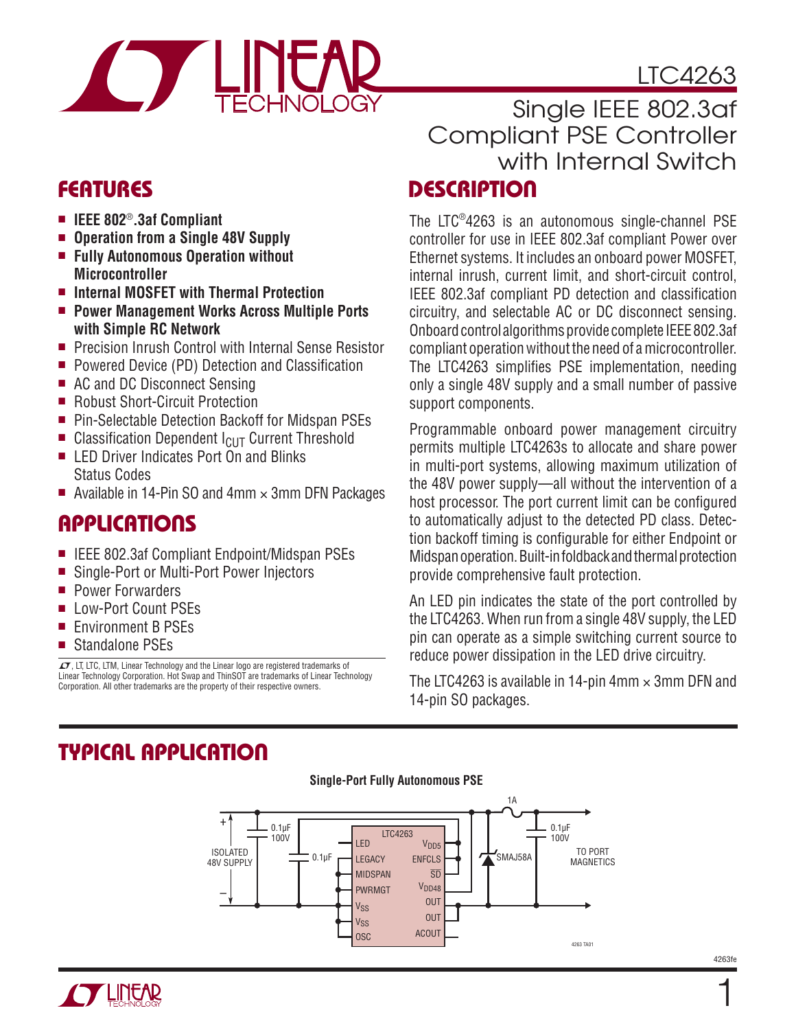# LTC4263



### **FEATURES**

- **IEEE 802<sup>®</sup>.3af Compliant**
- <sup>n</sup> **Operation from a Single 48V Supply**
- Fully Autonomous Operation without **Microcontroller**
- Internal MOSFET with Thermal Protection
- Power Management Works Across Multiple Ports **with Simple RC Network**
- Precision Inrush Control with Internal Sense Resistor
- Powered Device (PD) Detection and Classification
- AC and DC Disconnect Sensing
- Robust Short-Circuit Protection
- Pin-Selectable Detection Backoff for Midspan PSEs
- Classification Dependent  $I_{CUT}$  Current Threshold
- LED Driver Indicates Port On and Blinks Status Codes
- Available in 14-Pin SO and 4mm  $\times$  3mm DFN Packages

### **APPLICATIONS**

- IEEE 802.3af Compliant Endpoint/Midspan PSEs
- Single-Port or Multi-Port Power Injectors
- **Power Forwarders**
- Low-Port Count PSEs
- Environment B PSEs
- Standalone PSEs

 $I$ , LT, LTC, LTM, Linear Technology and the Linear logo are registered trademarks of Linear Technology Corporation. Hot Swap and ThinSOT are trademarks of Linear Technology Corporation. All other trademarks are the property of their respective owners.

### **DESCRIPTION** Single IEEE 802.3af Compliant PSE Controller with Internal Switch

The LTC®4263 is an autonomous single-channel PSE controller for use in IEEE 802.3af compliant Power over Ethernet systems. It includes an onboard power MOSFET, internal inrush, current limit, and short-circuit control, IEEE 802.3af compliant PD detection and classification circuitry, and selectable AC or DC disconnect sensing. Onboard control algorithms provide complete IEEE 802.3af compliant operation without the need of a microcontroller. The LTC4263 simplifies PSE implementation, needing only a single 48V supply and a small number of passive support components.

Programmable onboard power management circuitry permits multiple LTC4263s to allocate and share power in multi-port systems, allowing maximum utilization of the 48V power supply—all without the intervention of a host processor. The port current limit can be configured to automatically adjust to the detected PD class. Detection backoff timing is configurable for either Endpoint or Midspan operation. Built-in foldback and thermal protection provide comprehensive fault protection.

An LED pin indicates the state of the port controlled by the LTC4263. When run from a single 48V supply, the LED pin can operate as a simple switching current source to reduce power dissipation in the LED drive circuitry.

The LTC4263 is available in 14-pin 4mm  $\times$  3mm DFN and 14-pin SO packages.

# **TYPICAL APPLICATION**

#### **Single-Port Fully Autonomous PSE**



4263fe

1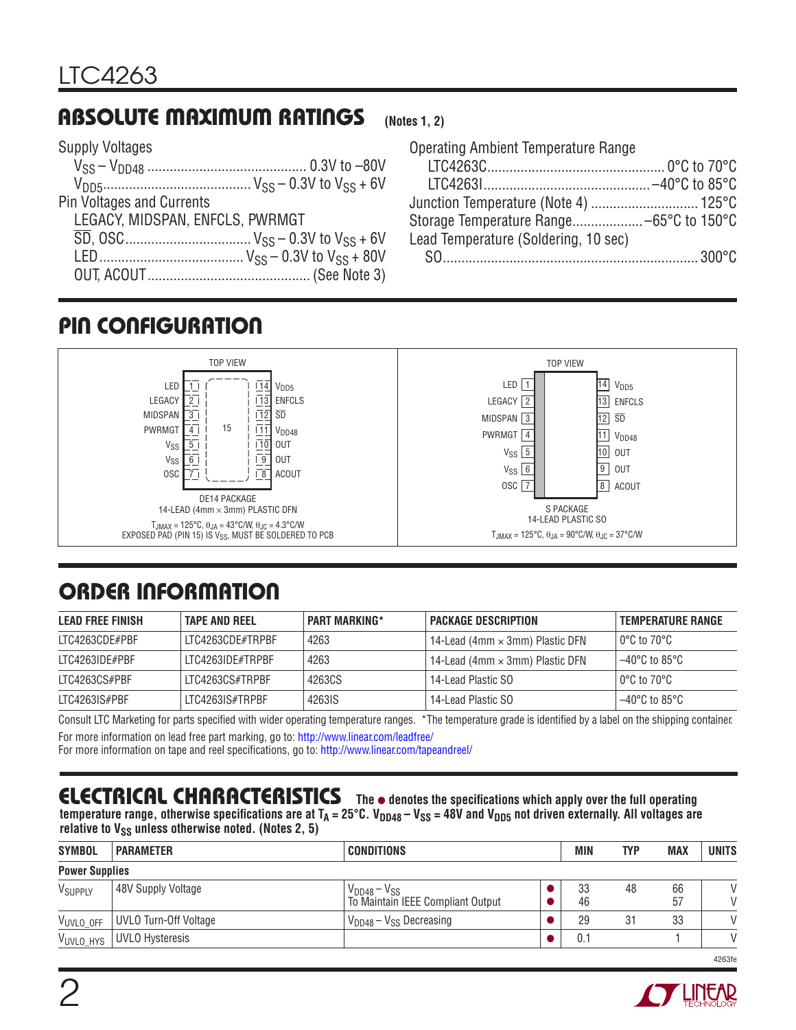### **ABSOLUTE MAXIMUM RATINGS**

#### Supply Voltages

| LEGACY, MIDSPAN, ENFCLS, PWRMGT |
|---------------------------------|
|                                 |
|                                 |
|                                 |
|                                 |

#### **(Notes 1, 2)**

# **PIN CONFIGURATION**



# **ORDER INFORMATION**

| <b>LEAD FREE FINISH</b> | <b>TAPE AND REEL</b> | <b>PART MARKING*</b> | <b>PACKAGE DESCRIPTION</b>             | <b>TEMPERATURE RANGE</b> |
|-------------------------|----------------------|----------------------|----------------------------------------|--------------------------|
| LTC4263CDE#PBF          | LTC4263CDE#TRPBF     | 4263                 | 14-Lead (4mm $\times$ 3mm) Plastic DFN | l 0°C to 70°C l          |
| LTC4263IDE#PBF          | LTC4263IDE#TRPBF     | 4263                 | 14-Lead (4mm $\times$ 3mm) Plastic DFN | 1–40°C to 85°C           |
| LTC4263CS#PBF           | ITC4263CS#TRPBF      | 4263CS               | 14-Lead Plastic SO                     | l 0°C to 70°C l          |
| LTC4263IS#PBF           | LTC4263IS#TRPBF      | 4263IS               | 14-Lead Plastic SO                     | 1–40°C to 85°C           |

Consult LTC Marketing for parts specified with wider operating temperature ranges. \*The temperature grade is identified by a label on the shipping container. For more information on lead free part marking, go to: http://www.linear.com/leadfree/

For more information on tape and reel specifications, go to: http://www.linear.com/tapeandreel/

### **ELECTRICAL CHARACTERISTICS**

The  $\bullet$  denotes the specifications which apply over the full operating temperature range, otherwise specifications are at  $T_A = 25^\circ C$ . V<sub>DD48</sub> – V<sub>SS</sub> = 48V and V<sub>DD5</sub> not driven externally. All voltages are relative to V<sub>SS</sub> unless otherwise noted. (Notes 2, 5)

| <b>SYMBOL</b>         | <b>PARAMETER</b>       | <b>CONDITIONS</b>                                        | <b>MIN</b> | <b>TYP</b> | <b>MAX</b> | <b>UNITS</b>                   |
|-----------------------|------------------------|----------------------------------------------------------|------------|------------|------------|--------------------------------|
| <b>Power Supplies</b> |                        |                                                          |            |            |            |                                |
| VSUPPLY               | 48V Supply Voltage     | $V_{DD48} - V_{SS}$<br>To Maintain IEEE Compliant Output | 33<br>46   | 48         | 66<br>57   | $\mathcal{U}$<br>$\mathcal{U}$ |
| VUVLO_OFF             | UVLO Turn-Off Voltage  | $V_{DD48} - V_{SS}$ Decreasing                           | 29         | 31         | 33         | $\mathcal{U}$                  |
| VUVLO HYS             | <b>UVLO Hysteresis</b> |                                                          | 0.1        |            |            | $\mathcal{U}$                  |
|                       |                        |                                                          |            |            |            | 4263fe                         |

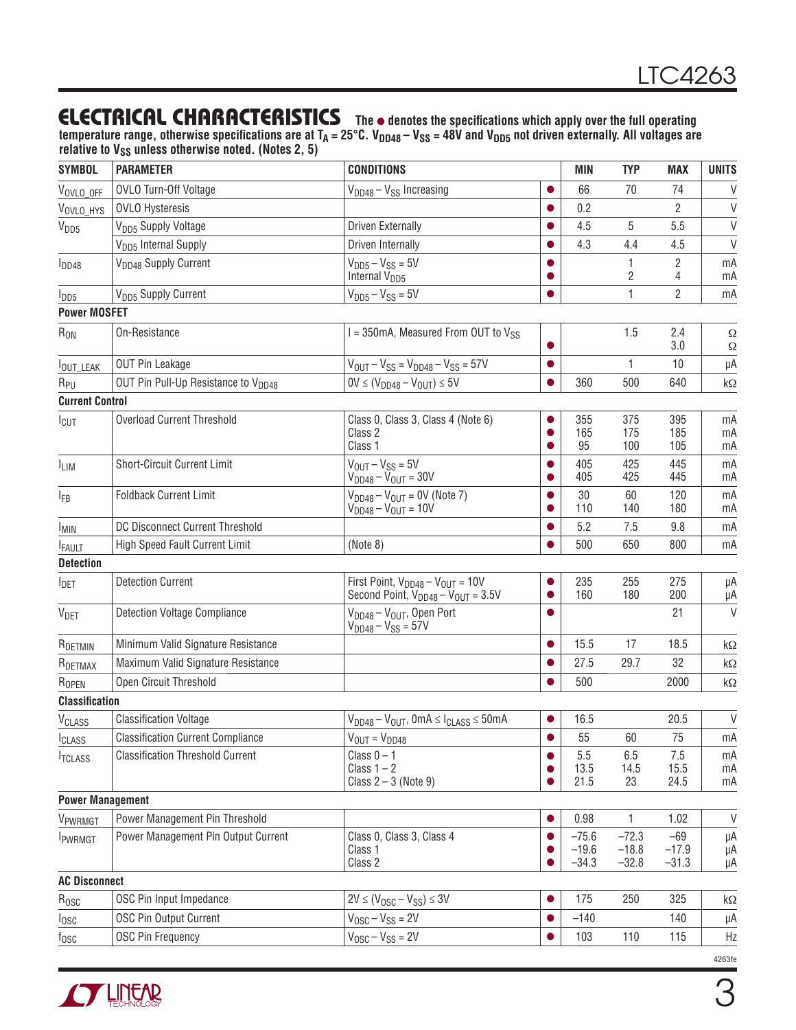### **ELECTRICAL CHARACTERISTICS** The  $\bullet$  denotes the specifications which apply over the full operating

temperature range, otherwise specifications are at T<sub>A</sub> = 25°C. V<sub>DD48</sub> – V<sub>SS</sub> = 48V and V<sub>DD5</sub> not driven externally. All voltages are relative to V<sub>SS</sub> unless otherwise noted. (Notes 2, 5)

| <b>SYMBOL</b>            | <b>PARAMETER</b>                                | <b>CONDITIONS</b>                                                                    |                | MIN                 | <b>TYP</b>         | <b>MAX</b>          | <b>UNITS</b>   |
|--------------------------|-------------------------------------------------|--------------------------------------------------------------------------------------|----------------|---------------------|--------------------|---------------------|----------------|
| VOVLO_OFF                | OVLO Turn-Off Voltage                           | $V_{DD48} - V_{SS}$ Increasing                                                       | $\bullet$      | 66                  | 70                 | 74                  | $\vee$         |
| VOVLO_HYS                | <b>OVLO Hysteresis</b>                          |                                                                                      | $\bullet$      | 0.2                 |                    | 2                   | $\vee$         |
| V <sub>DD5</sub>         | V <sub>DD5</sub> Supply Voltage                 | <b>Driven Externally</b>                                                             |                | 4.5                 | 5                  | 5.5                 | $\vee$         |
|                          | V <sub>DD5</sub> Internal Supply                | Driven Internally                                                                    |                | 4.3                 | 4.4                | 4.5                 | $\vee$         |
| $I_{DD48}$               | V <sub>DD48</sub> Supply Current                | $VDD5 - VSS = 5V$<br>Internal V <sub>DD5</sub>                                       | $\bullet$      |                     | 2                  | 2<br>4              | mA<br>mA       |
| $I_{DD5}$                | V <sub>DD5</sub> Supply Current                 | $VDD5 - VSS = 5V$                                                                    | $\bullet$      |                     | 1                  | $\overline{2}$      | mA             |
| <b>Power MOSFET</b>      |                                                 |                                                                                      |                |                     |                    |                     |                |
| $R_{ON}$                 | On-Resistance                                   | $I = 350mA$ , Measured From OUT to $V_{SS}$                                          | $\bullet$      |                     | 1.5                | 2.4<br>3.0          | Ω<br>Ω         |
| <b>IOUT_LEAK</b>         | <b>OUT Pin Leakage</b>                          | $V_{OUT} - V_{SS} = V_{DD48} - V_{SS} = 57V$                                         | $\bullet$      |                     | $\mathbf{1}$       | 10                  | μA             |
| R <sub>PU</sub>          | OUT Pin Pull-Up Resistance to V <sub>DD48</sub> | $0V \leq (V_{DD48} - V_{OUT}) \leq 5V$                                               | $\bullet$      | 360                 | 500                | 640                 | $k\Omega$      |
| <b>Current Control</b>   |                                                 |                                                                                      |                |                     |                    |                     |                |
| I <sub>CUT</sub>         | <b>Overload Current Threshold</b>               | Class 0, Class 3, Class 4 (Note 6)<br>Class 2<br>Class 1                             | O              | 355<br>165<br>95    | 375<br>175<br>100  | 395<br>185<br>105   | mA<br>mA<br>mA |
| <sup>I</sup> LIM         | Short-Circuit Current Limit                     | $V_{OUT} - V_{SS} = 5V$<br>$V_{DD48} - V_{OUT} = 30V$                                |                | 405<br>405          | 425<br>425         | 445<br>445          | mA<br>mA       |
| <b>IFB</b>               | <b>Foldback Current Limit</b>                   | $V_{DD48} - V_{OUT} = 0V$ (Note 7)<br>$V_{DD48} - V_{OUT} = 10V$                     | 0              | 30<br>110           | 60<br>140          | 120<br>180          | mA<br>mA       |
| <b>IMIN</b>              | <b>DC Disconnect Current Threshold</b>          |                                                                                      | $\bullet$      | 5.2                 | 7.5                | 9.8                 | mA             |
| <b>FAULT</b>             | High Speed Fault Current Limit                  | (Note 8)                                                                             |                | 500                 | 650                | 800                 | mA             |
| <b>Detection</b>         |                                                 |                                                                                      |                |                     |                    |                     |                |
| <b>I</b> DET             | <b>Detection Current</b>                        | First Point, $V_{DD48} - V_{OUT} = 10V$<br>Second Point, $V_{DD48} - V_{OUT} = 3.5V$ | ●<br>$\bullet$ | 235<br>160          | 255<br>180         | 275<br>200          | μA<br>μA       |
| <b>V</b> <sub>DET</sub>  | <b>Detection Voltage Compliance</b>             | $V_{DD48} - V_{OUT}$ , Open Port<br>$V_{DD48} - V_{SS} = 57V$                        | ●              |                     |                    | 21                  | V              |
| R <sub>DETMIN</sub>      | Minimum Valid Signature Resistance              |                                                                                      | $\bullet$      | 15.5                | 17                 | 18.5                | $k\Omega$      |
| R <sub>DETMAX</sub>      | Maximum Valid Signature Resistance              |                                                                                      | O              | 27.5                | 29.7               | 32                  | kΩ             |
| ROPEN                    | Open Circuit Threshold                          |                                                                                      | ●              | 500                 |                    | 2000                | $k\Omega$      |
| <b>Classification</b>    |                                                 |                                                                                      |                |                     |                    |                     |                |
| <b>V<sub>CLASS</sub></b> | <b>Classification Voltage</b>                   | $V_{DD48} - V_{OUT}$ , 0mA $\leq$ I <sub>CLASS</sub> $\leq$ 50mA                     |                | 16.5                |                    | 20.5                | V              |
| I <sub>CLASS</sub>       | <b>Classification Current Compliance</b>        | $V_{OUT} = V_{DD48}$                                                                 | $\bullet$      | 55                  | 60                 | 75                  | mA             |
| <b>ITCLASS</b>           | <b>Classification Threshold Current</b>         | Class $0 - 1$<br>Class $1 - 2$<br>Class $2 - 3$ (Note 9)                             | $\bullet$      | 5.5<br>13.5<br>21.5 | 6.5<br>14.5<br>23  | 7.5<br>15.5<br>24.5 | mA<br>mA<br>mA |
| <b>Power Management</b>  |                                                 |                                                                                      |                |                     |                    |                     |                |
| V <sub>PWRMGT</sub>      | Power Management Pin Threshold                  |                                                                                      | ●              | 0.98                | 1                  | 1.02                | $\vee$         |
| <b>I</b> PWRMGT          | Power Management Pin Output Current             | Class 0, Class 3, Class 4                                                            | 0              | $-75.6$             | $-72.3$            | $-69$               | μA             |
|                          |                                                 | Class 1<br>Class 2                                                                   | $\bullet$      | $-19.6$<br>$-34.3$  | $-18.8$<br>$-32.8$ | $-17.9$<br>$-31.3$  | μA<br>μA       |
| <b>AC Disconnect</b>     |                                                 |                                                                                      |                |                     |                    |                     |                |
| $R_{\text{OSC}}$         | OSC Pin Input Impedance                         | $2V \le (V_{\text{OSC}} - V_{\text{SS}}) \le 3V$                                     | $\bullet$      | 175                 | 250                | 325                 | $k\Omega$      |
| losc                     | OSC Pin Output Current                          | $V_{\text{OSC}} - V_{\text{SS}} = 2V$                                                | $\bullet$      | $-140$              |                    | 140                 | μA             |
| $f_{\rm OSC}$            | <b>OSC Pin Frequency</b>                        | $V_{\text{OSC}} - V_{\text{SS}} = 2V$                                                | 0              | 103                 | 110                | 115                 | Hz             |

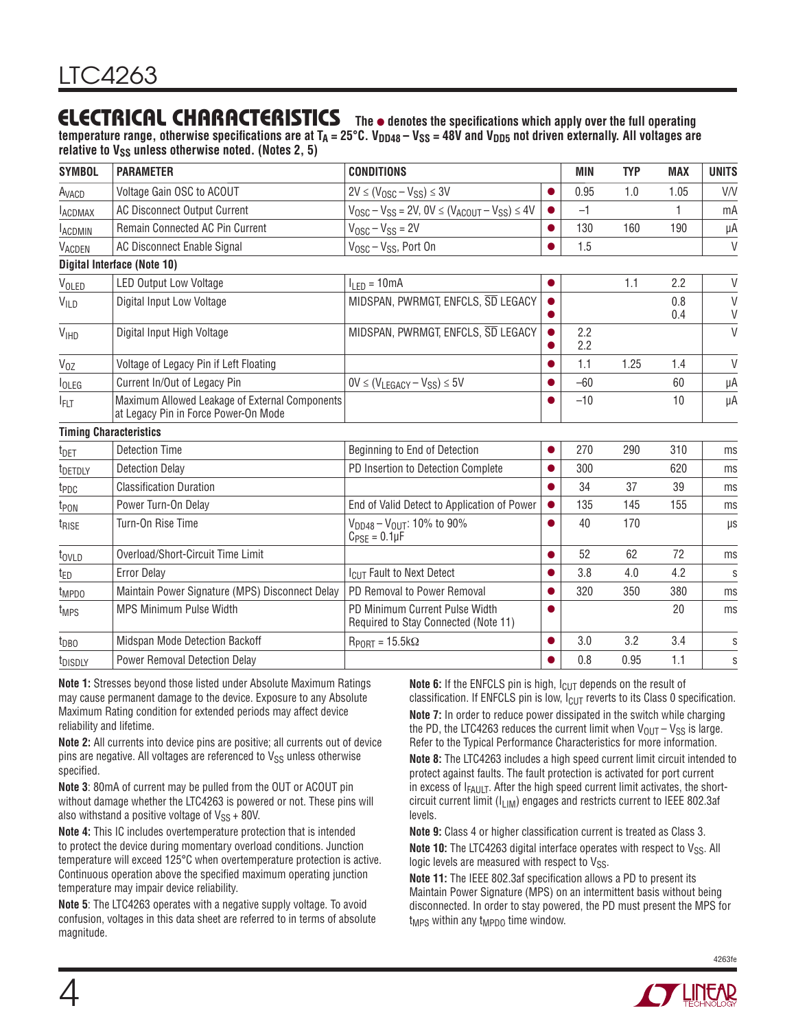### **ELECTRICAL CHARACTERISTICS** The  $\bullet$  denotes the specifications which apply over the full operating

temperature range, otherwise specifications are at  $T_A = 25^{\circ}$ C. V<sub>DD48</sub> – V<sub>SS</sub> = 48V and V<sub>DD5</sub> not driven externally. All voltages are relative to V<sub>SS</sub> unless otherwise noted. (Notes 2, 5)

| <b>SYMBOL</b>            | <b>PARAMETER</b>                                                                       | <b>CONDITIONS</b>                                                                            |           | MIN        | <b>TYP</b> | <b>MAX</b> | <b>UNITS</b> |
|--------------------------|----------------------------------------------------------------------------------------|----------------------------------------------------------------------------------------------|-----------|------------|------------|------------|--------------|
| A <sub>VACD</sub>        | Voltage Gain OSC to ACOUT                                                              | $2V \leq (V_{\text{OSC}} - V_{\text{SS}}) \leq 3V$                                           | $\bullet$ | 0.95       | 1.0        | 1.05       | V/V          |
| <b>LACDMAX</b>           | <b>AC Disconnect Output Current</b>                                                    | $V_{\text{OSC}} - V_{\text{SS}} = 2V$ , $0V \leq (V_{\text{ACOUT}} - V_{\text{SS}}) \leq 4V$ |           | $-1$       |            |            | mA           |
| <b>LACDMIN</b>           | Remain Connected AC Pin Current                                                        | $V_{\text{OSC}} - V_{\text{SS}} = 2V$                                                        | $\bullet$ | 130        | 160        | 190        | μA           |
| VACDEN                   | <b>AC Disconnect Enable Signal</b>                                                     | $V_{\text{OSC}} - V_{\text{SS}}$ , Port On                                                   | $\bullet$ | 1.5        |            |            | $\vee$       |
|                          | Digital Interface (Note 10)                                                            |                                                                                              |           |            |            |            |              |
| VOLED                    | <b>LED Output Low Voltage</b>                                                          | $IIFD = 10mA$                                                                                | $\bullet$ |            | 1.1        | 2.2        | $\vee$       |
| VILD                     | Digital Input Low Voltage                                                              | MIDSPAN, PWRMGT, ENFCLS, SD LEGACY                                                           |           |            |            | 0.8<br>0.4 | $\vee$<br>V  |
| <b>V<sub>IHD</sub></b>   | Digital Input High Voltage                                                             | MIDSPAN, PWRMGT, ENFCLS, SD LEGACY                                                           |           | 2.2<br>2.2 |            |            | $\vee$       |
| $V_{OZ}$                 | Voltage of Legacy Pin if Left Floating                                                 |                                                                                              | $\bullet$ | 1.1        | 1.25       | 1.4        | $\vee$       |
| <b>l</b> <sub>OLEG</sub> | Current In/Out of Legacy Pin                                                           | $OV \leq (V_{LEGACY} - V_{SS}) \leq 5V$                                                      | $\bullet$ | $-60$      |            | 60         | μA           |
| <b>IFLT</b>              | Maximum Allowed Leakage of External Components<br>at Legacy Pin in Force Power-On Mode |                                                                                              |           | $-10$      |            | 10         | μA           |
|                          | <b>Timing Characteristics</b>                                                          |                                                                                              |           |            |            |            |              |
| t <sub>DET</sub>         | <b>Detection Time</b>                                                                  | Beginning to End of Detection                                                                | $\bullet$ | 270        | 290        | 310        | ms           |
| t <sub>DETDLY</sub>      | <b>Detection Delay</b>                                                                 | PD Insertion to Detection Complete                                                           |           | 300        |            | 620        | ms           |
| t <sub>PDC</sub>         | <b>Classification Duration</b>                                                         |                                                                                              | $\bullet$ | 34         | 37         | 39         | ms           |
| t <sub>PON</sub>         | Power Turn-On Delay                                                                    | End of Valid Detect to Application of Power                                                  | $\bullet$ | 135        | 145        | 155        | ms           |
| <sup>t</sup> RISE        | Turn-On Rise Time                                                                      | $V_{DD48} - V_{OUT}$ : 10% to 90%<br>$C_{\text{PSE}} = 0.1 \mu F$                            | $\bullet$ | 40         | 170        |            | $\mu$ s      |
| t <sub>ovld</sub>        | Overload/Short-Circuit Time Limit                                                      |                                                                                              | $\bullet$ | 52         | 62         | 72         | ms           |
| t <sub>ED</sub>          | <b>Error Delay</b>                                                                     | ICUT Fault to Next Detect                                                                    | ●         | 3.8        | 4.0        | 4.2        | S            |
| t <sub>MPDO</sub>        | Maintain Power Signature (MPS) Disconnect Delay                                        | PD Removal to Power Removal                                                                  | ●         | 320        | 350        | 380        | ms           |
| t <sub>MPS</sub>         | <b>MPS Minimum Pulse Width</b>                                                         | PD Minimum Current Pulse Width<br>Required to Stay Connected (Note 11)                       | O         |            |            | 20         | ms           |
| t <sub>DBO</sub>         | Midspan Mode Detection Backoff                                                         | $R_{PORT} = 15.5 k\Omega$                                                                    | $\bullet$ | 3.0        | 3.2        | 3.4        | S            |
| t <sub>DISDLY</sub>      | Power Removal Detection Delay                                                          |                                                                                              |           | 0.8        | 0.95       | 1.1        | S            |

**Note 1:** Stresses beyond those listed under Absolute Maximum Ratings may cause permanent damage to the device. Exposure to any Absolute Maximum Rating condition for extended periods may affect device reliability and lifetime.

**Note 2:** All currents into device pins are positive; all currents out of device pins are negative. All voltages are referenced to  $V_{SS}$  unless otherwise specified.

**Note 3**: 80mA of current may be pulled from the OUT or ACOUT pin without damage whether the LTC4263 is powered or not. These pins will also withstand a positive voltage of  $V_{SS}$  + 80V.

**Note 4:** This IC includes overtemperature protection that is intended to protect the device during momentary overload conditions. Junction temperature will exceed 125°C when overtemperature protection is active. Continuous operation above the specified maximum operating junction temperature may impair device reliability.

**Note 5**: The LTC4263 operates with a negative supply voltage. To avoid confusion, voltages in this data sheet are referred to in terms of absolute magnitude.

**Note 6:** If the ENFCLS pin is high, I<sub>CUT</sub> depends on the result of classification. If ENFCLS pin is low,  $I_{\text{CUT}}$  reverts to its Class 0 specification. **Note 7:** In order to reduce power dissipated in the switch while charging the PD, the LTC4263 reduces the current limit when  $V_{OUT} - V_{SS}$  is large. Refer to the Typical Performance Characteristics for more information.

**Note 8:** The LTC4263 includes a high speed current limit circuit intended to protect against faults. The fault protection is activated for port current in excess of  $I_{FAULT}$ . After the high speed current limit activates, the shortcircuit current limit ( $I_{LIM}$ ) engages and restricts current to IEEE 802.3af levels.

**Note 9:** Class 4 or higher classification current is treated as Class 3.

**Note 10:** The LTC4263 digital interface operates with respect to V<sub>SS</sub>. All logic levels are measured with respect to  $V_{SS}$ .

**Note 11:** The IEEE 802.3af specification allows a PD to present its Maintain Power Signature (MPS) on an intermittent basis without being disconnected. In order to stay powered, the PD must present the MPS for  $t<sub>MPS</sub>$  within any  $t<sub>MPDO</sub>$  time window.

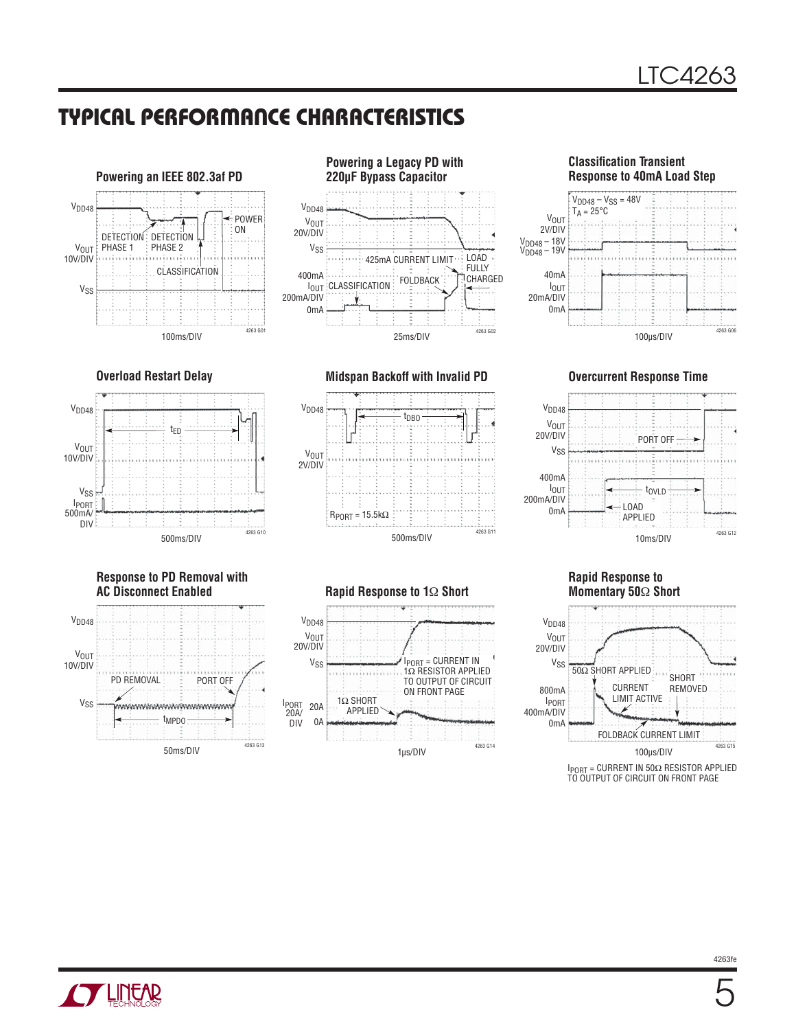### **TYPICAL PERFORMANCE CHARACTERISTICS**





**Response to PD Removal with** 





**Overload Restart Delay Midspan Backoff with Invalid PD Overcurrent Response Time**









#### **Rapid Response to Momentary 50**Ω **Short**



#### V<sub>DD48</sub> V<sub>SS</sub> V<sub>OUT</sub><br>20V/DIV IPORT = CURRENT IN 1Ω RESISTOR APPLIED TO OUTPUT OF CIRCUIT

1Ω SHORT APPLIED

IPORT 20A/ 20A DIV 0A

1μs/DIV

ON FRONT PAGE

4263 G14

**Rapid Response to 1Ω Short** 

**TLITEAR**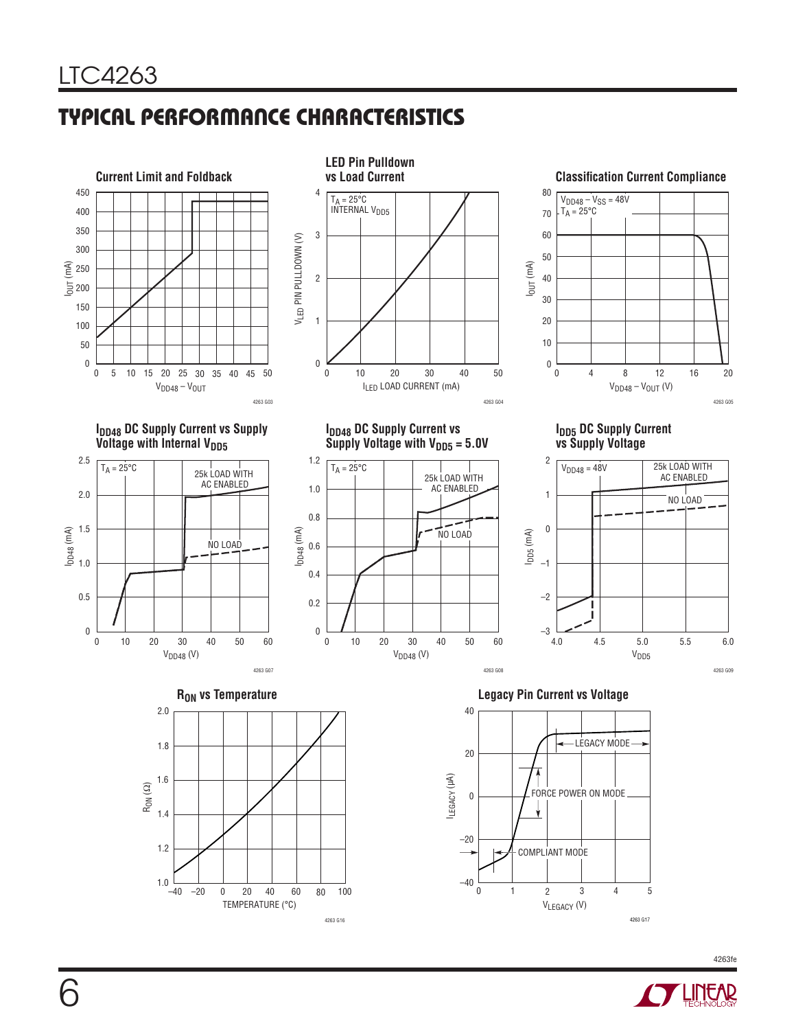# **TYPICAL PERFORMANCE CHARACTERISTICS**



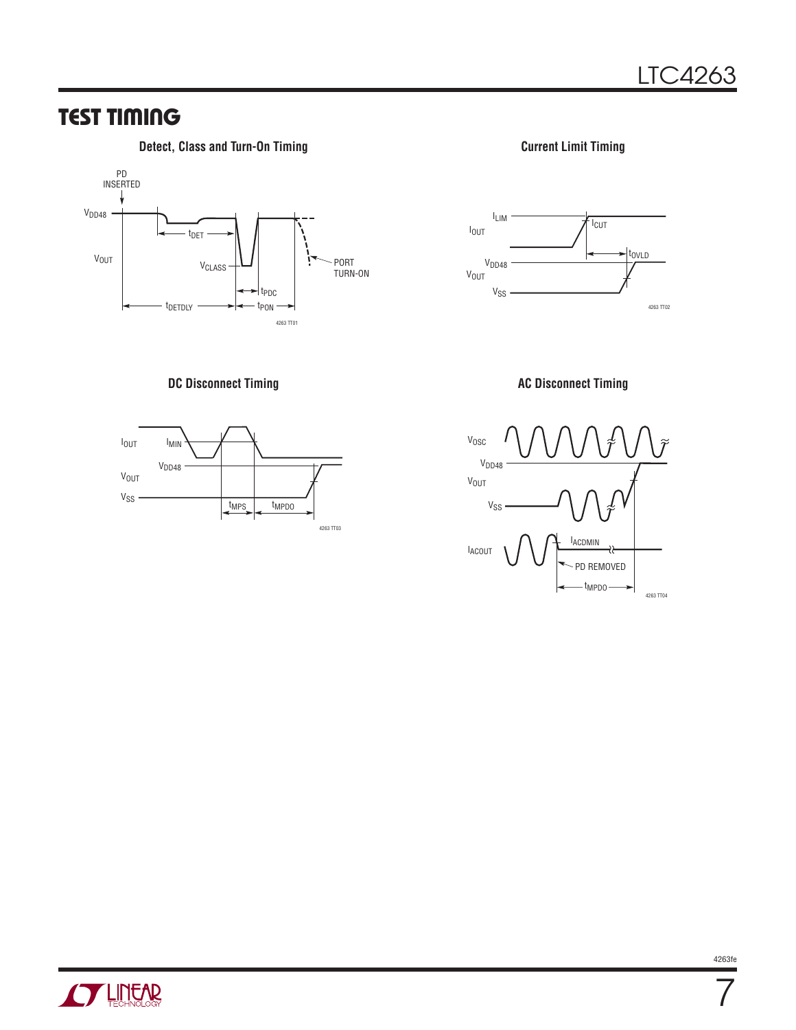### **TEST TIMING**

#### **Detect, Class and Turn-On Timing Current Limit Timing Current Limit Timing**



#### **DC Disconnect Timing CONSERVING AC Disconnect Timing AC Disconnect Timing**









7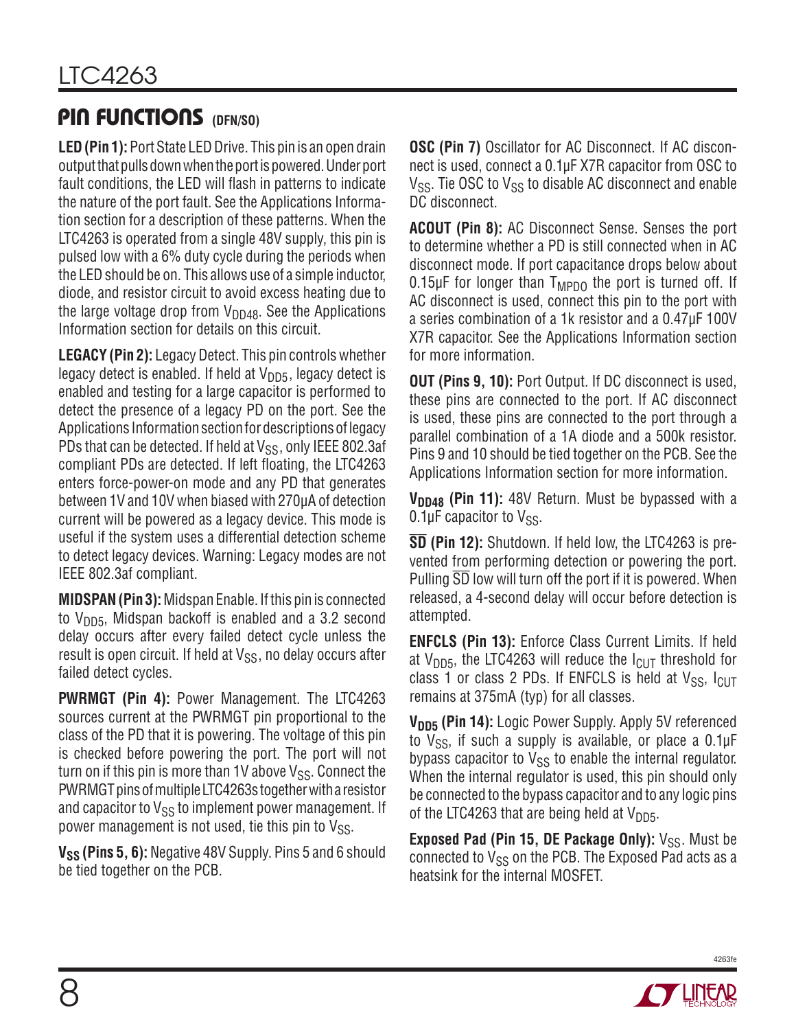### **PIN FUNCTIONS (DFN/SO)**

**LED (Pin 1):** Port State LED Drive. This pin is an open drain output that pulls down when the port is powered. Under port fault conditions, the LED will flash in patterns to indicate the nature of the port fault. See the Applications Information section for a description of these patterns. When the LTC4263 is operated from a single 48V supply, this pin is pulsed low with a 6% duty cycle during the periods when the LED should be on. This allows use of a simple inductor, diode, and resistor circuit to avoid excess heating due to the large voltage drop from  $V_{DD48}$ . See the Applications Information section for details on this circuit.

**LEGACY (Pin 2):** Legacy Detect. This pin controls whether legacy detect is enabled. If held at  $V_{\text{DD5}}$ , legacy detect is enabled and testing for a large capacitor is performed to detect the presence of a legacy PD on the port. See the Applications Information section for descriptions of legacy PDs that can be detected. If held at  $V_{SS}$ , only IEEE 802.3af compliant PDs are detected. If left floating, the LTC4263 enters force-power-on mode and any PD that generates between 1V and 10V when biased with 270μA of detection current will be powered as a legacy device. This mode is useful if the system uses a differential detection scheme to detect legacy devices. Warning: Legacy modes are not IEEE 802.3af compliant.

**MIDSPAN (Pin 3):** Midspan Enable. If this pin is connected to  $V_{\text{DD5}}$ , Midspan backoff is enabled and a 3.2 second delay occurs after every failed detect cycle unless the result is open circuit. If held at  $V_{SS}$ , no delay occurs after failed detect cycles.

**PWRMGT (Pin 4):** Power Management. The LTC4263 sources current at the PWRMGT pin proportional to the class of the PD that it is powering. The voltage of this pin is checked before powering the port. The port will not turn on if this pin is more than  $1V$  above  $V_{SS}$ . Connect the PWRMGT pins of multiple LTC4263s together with a resistor and capacitor to  $V_{SS}$  to implement power management. If power management is not used, tie this pin to  $V_{SS}$ .

V<sub>SS</sub> (Pins 5, 6): Negative 48V Supply. Pins 5 and 6 should be tied together on the PCB.

**OSC (Pin 7)** Oscillator for AC Disconnect. If AC disconnect is used, connect a 0.1μF X7R capacitor from OSC to  $V_{SS}$ . Tie OSC to  $V_{SS}$  to disable AC disconnect and enable DC disconnect.

**ACOUT (Pin 8):** AC Disconnect Sense. Senses the port to determine whether a PD is still connected when in AC disconnect mode. If port capacitance drops below about 0.15μF for longer than  $T_{MPDO}$  the port is turned off. If AC disconnect is used, connect this pin to the port with a series combination of a 1k resistor and a 0.47μF 100V X7R capacitor. See the Applications Information section for more information.

**OUT (Pins 9, 10):** Port Output. If DC disconnect is used, these pins are connected to the port. If AC disconnect is used, these pins are connected to the port through a parallel combination of a 1A diode and a 500k resistor. Pins 9 and 10 should be tied together on the PCB. See the Applications Information section for more information.

**V<sub>DD48</sub> (Pin 11):** 48V Return. Must be bypassed with a 0.1 $\mu$ F capacitor to V<sub>SS</sub>.

**SD (Pin 12):** Shutdown. If held low, the LTC4263 is prevented from performing detection or powering the port. Pulling  $\overline{SD}$  low will turn off the port if it is powered. When released, a 4-second delay will occur before detection is attempted.

**ENFCLS (Pin 13):** Enforce Class Current Limits. If held at  $V_{\text{DD5}}$ , the LTC4263 will reduce the  $I_{\text{ClIT}}$  threshold for class 1 or class 2 PDs. If ENFCLS is held at  $V_{SS}$ ,  $I_{CUT}$ remains at 375mA (typ) for all classes.

V<sub>DD5</sub> (Pin 14): Logic Power Supply. Apply 5V referenced to  $V_{SS}$ , if such a supply is available, or place a 0.1 $\mu$ F bypass capacitor to  $V_{SS}$  to enable the internal regulator. When the internal regulator is used, this pin should only be connected to the bypass capacitor and to any logic pins of the LTC4263 that are being held at  $V_{DD5}$ .

**Exposed Pad (Pin 15, DE Package Only):** V<sub>SS</sub>. Must be connected to  $V_{SS}$  on the PCB. The Exposed Pad acts as a heatsink for the internal MOSFET.

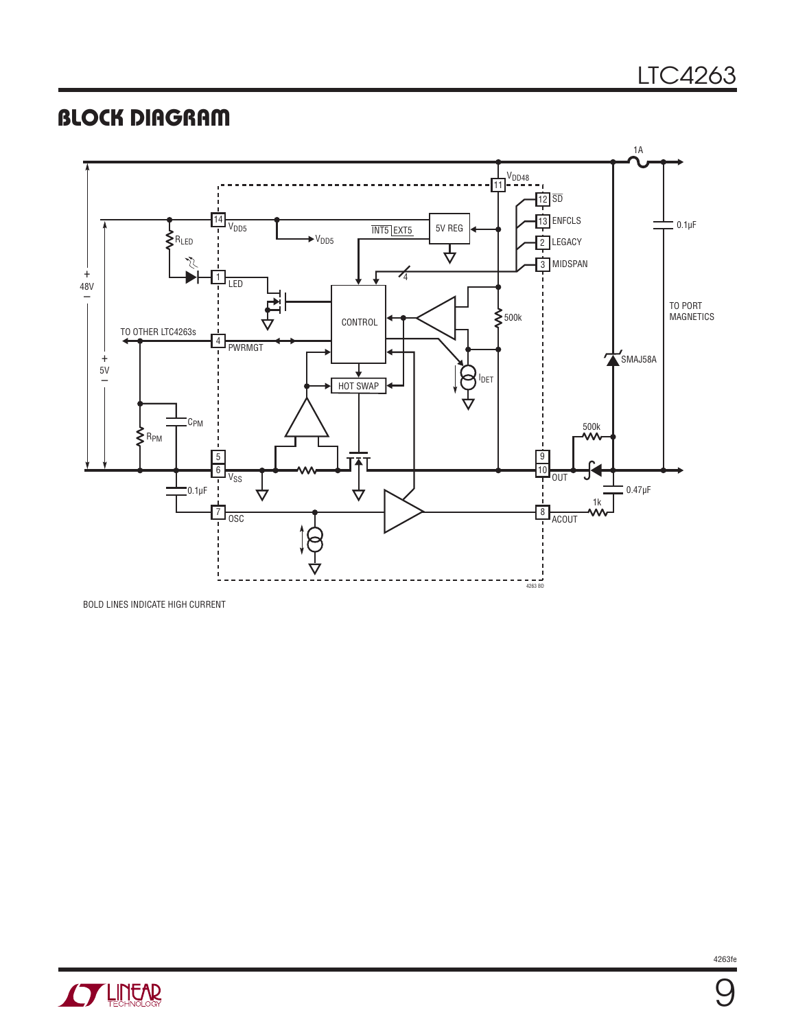### **BLOCK DIAGRAM**



BOLD LINES INDICATE HIGH CURRENT



9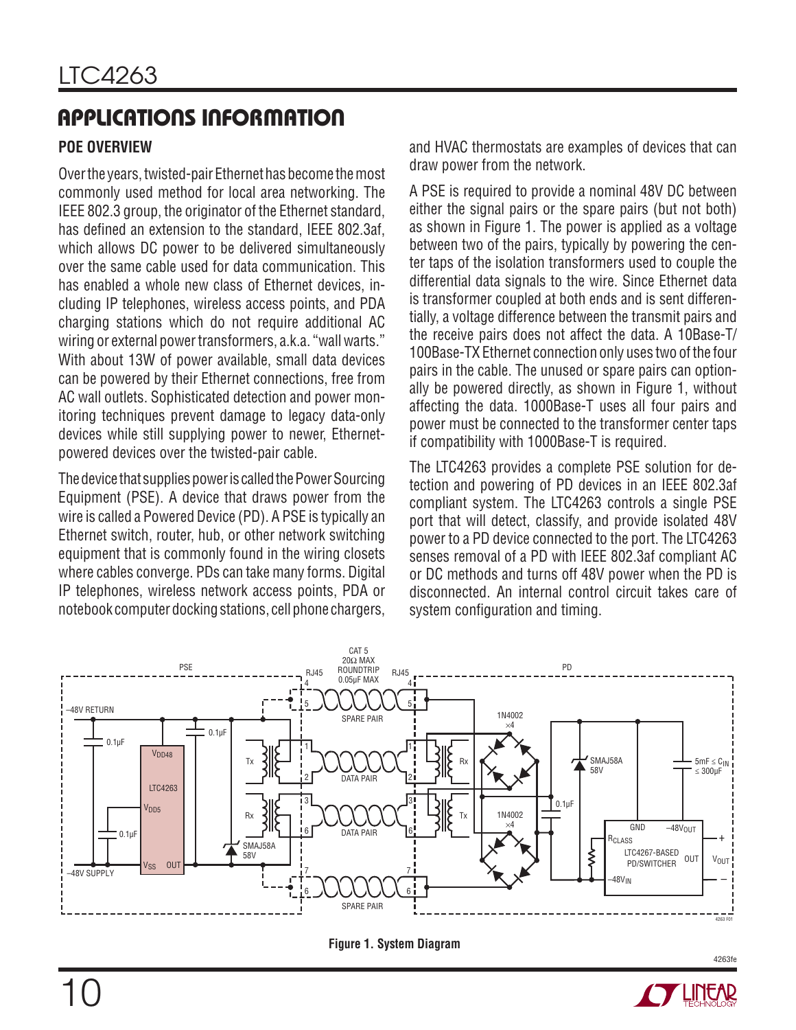### **POE OVERVIEW**

Over the years, twisted-pair Ethernet has become the most commonly used method for local area networking. The IEEE 802.3 group, the originator of the Ethernet standard, has defined an extension to the standard, IEEE 802.3af, which allows DC power to be delivered simultaneously over the same cable used for data communication. This has enabled a whole new class of Ethernet devices, including IP telephones, wireless access points, and PDA charging stations which do not require additional AC wiring or external power transformers, a.k.a. "wall warts." With about 13W of power available, small data devices can be powered by their Ethernet connections, free from AC wall outlets. Sophisticated detection and power monitoring techniques prevent damage to legacy data-only devices while still supplying power to newer, Ethernetpowered devices over the twisted-pair cable.

The device that supplies power is called the Power Sourcing Equipment (PSE). A device that draws power from the wire is called a Powered Device (PD). A PSE is typically an Ethernet switch, router, hub, or other network switching equipment that is commonly found in the wiring closets where cables converge. PDs can take many forms. Digital IP telephones, wireless network access points, PDA or notebook computer docking stations, cell phone chargers, and HVAC thermostats are examples of devices that can draw power from the network.

A PSE is required to provide a nominal 48V DC between either the signal pairs or the spare pairs (but not both) as shown in Figure 1. The power is applied as a voltage between two of the pairs, typically by powering the center taps of the isolation transformers used to couple the differential data signals to the wire. Since Ethernet data is transformer coupled at both ends and is sent differentially, a voltage difference between the transmit pairs and the receive pairs does not affect the data. A 10Base-T/ 100Base-TX Ethernet connection only uses two of the four pairs in the cable. The unused or spare pairs can optionally be powered directly, as shown in Figure 1, without affecting the data. 1000Base-T uses all four pairs and power must be connected to the transformer center taps if compatibility with 1000Base-T is required.

The LTC4263 provides a complete PSE solution for detection and powering of PD devices in an IEEE 802.3af compliant system. The LTC4263 controls a single PSE port that will detect, classify, and provide isolated 48V power to a PD device connected to the port. The LTC4263 senses removal of a PD with IEEE 802.3af compliant AC or DC methods and turns off 48V power when the PD is disconnected. An internal control circuit takes care of system configuration and timing.





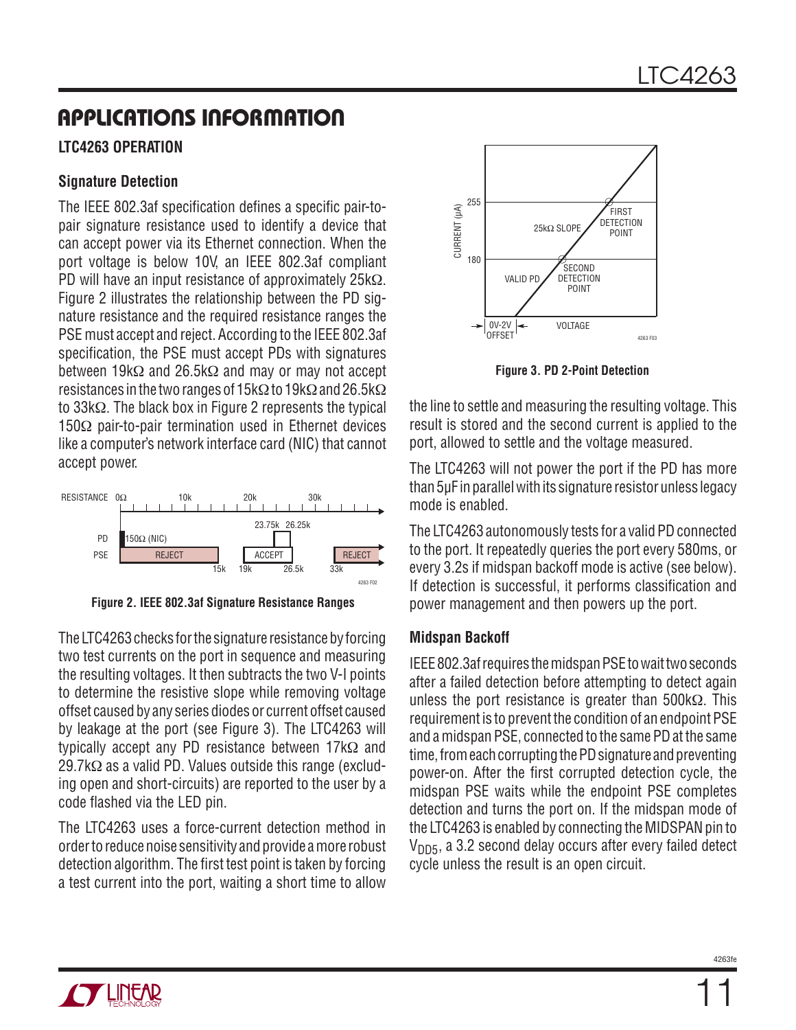### **LTC4263 OPERATION**

#### **Signature Detection**

The IEEE 802.3af specification defines a specific pair-topair signature resistance used to identify a device that can accept power via its Ethernet connection. When the port voltage is below 10V, an IEEE 802.3af compliant PD will have an input resistance of approximately 25kΩ. Figure 2 illustrates the relationship between the PD signature resistance and the required resistance ranges the PSE must accept and reject. According to the IEEE 802.3af specification, the PSE must accept PDs with signatures between 19kΩ and 26.5kΩ and may or may not accept resistances in the two ranges of 15kΩ to 19kΩ and 26.5kΩ to 33kΩ. The black box in Figure 2 represents the typical 150Ω pair-to-pair termination used in Ethernet devices like a computer's network interface card (NIC) that cannot accept power.



**Figure 2. IEEE 802.3af Signature Resistance Ranges**

The LTC4263 checks for the signature resistance by forcing two test currents on the port in sequence and measuring the resulting voltages. It then subtracts the two V-I points to determine the resistive slope while removing voltage offset caused by any series diodes or current offset caused by leakage at the port (see Figure 3). The LTC4263 will typically accept any PD resistance between 17kΩ and 29.7kΩ as a valid PD. Values outside this range (excluding open and short-circuits) are reported to the user by a code flashed via the LED pin.

The LTC4263 uses a force-current detection method in order to reduce noise sensitivity and provide a more robust detection algorithm. The first test point is taken by forcing a test current into the port, waiting a short time to allow



**Figure 3. PD 2-Point Detection**

the line to settle and measuring the resulting voltage. This result is stored and the second current is applied to the port, allowed to settle and the voltage measured.

The LTC4263 will not power the port if the PD has more than 5μF in parallel with its signature resistor unless legacy mode is enabled.

The LTC4263 autonomously tests for a valid PD connected to the port. It repeatedly queries the port every 580ms, or every 3.2s if midspan backoff mode is active (see below). If detection is successful, it performs classification and power management and then powers up the port.

### **Midspan Backoff**

IEEE 802.3af requires the midspan PSE to wait two seconds after a failed detection before attempting to detect again unless the port resistance is greater than  $500 \text{k}\Omega$ . This requirement is to prevent the condition of an endpoint PSE and a midspan PSE, connected to the same PD at the same time, from each corrupting the PD signature and preventing power-on. After the first corrupted detection cycle, the midspan PSE waits while the endpoint PSE completes detection and turns the port on. If the midspan mode of the LTC4263 is enabled by connecting the MIDSPAN pin to  $V<sub>DD5</sub>$ , a 3.2 second delay occurs after every failed detect cycle unless the result is an open circuit.

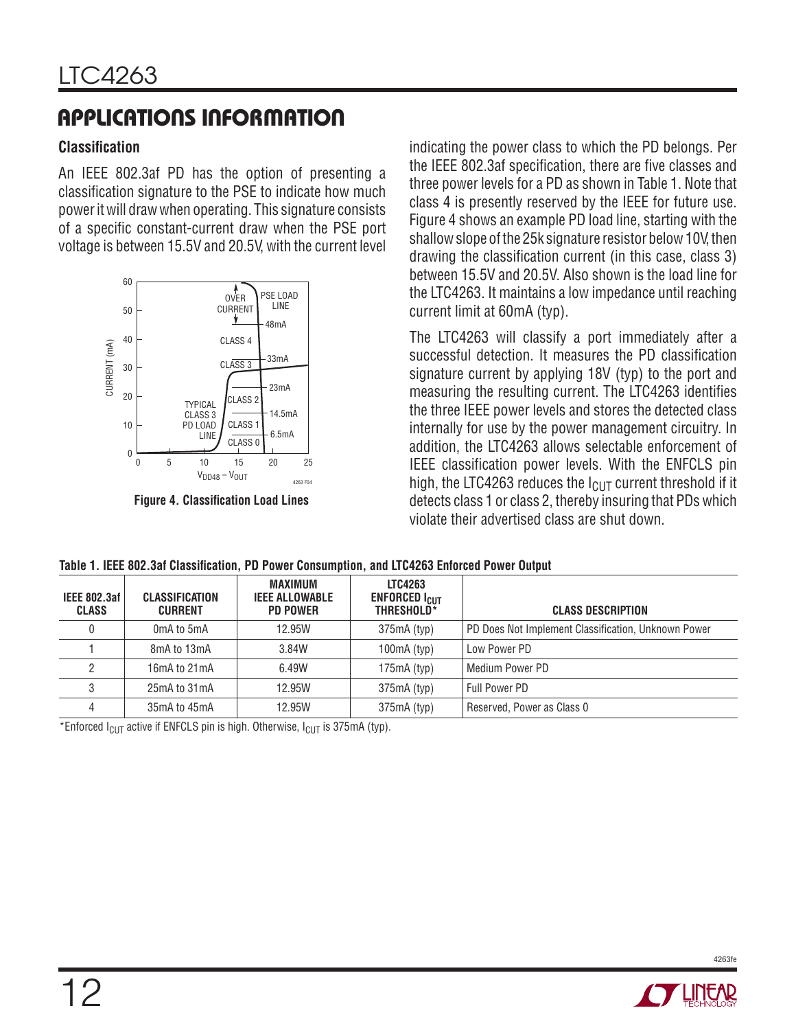#### **Classifi cation**

An IEEE 802.3af PD has the option of presenting a classification signature to the PSE to indicate how much power it will draw when operating. This signature consists of a specific constant-current draw when the PSE port voltage is between 15.5V and 20.5V, with the current level



**Figure 4. Classification Load Lines** 

indicating the power class to which the PD belongs. Per the IEEE 802.3af specification, there are five classes and three power levels for a PD as shown in Table 1. Note that class 4 is presently reserved by the IEEE for future use. Figure 4 shows an example PD load line, starting with the shallow slope of the 25k signature resistor below 10V, then drawing the classification current (in this case, class 3) between 15.5V and 20.5V. Also shown is the load line for the LTC4263. It maintains a low impedance until reaching current limit at 60mA (typ).

The LTC4263 will classify a port immediately after a successful detection. It measures the PD classification signature current by applying 18V (typ) to the port and measuring the resulting current. The LTC4263 identifies the three IEEE power levels and stores the detected class internally for use by the power management circuitry. In addition, the LTC4263 allows selectable enforcement of IEEE classification power levels. With the ENFCLS pin high, the LTC4263 reduces the  $I<sub>CUT</sub>$  current threshold if it detects class 1 or class 2, thereby insuring that PDs which violate their advertised class are shut down.

| <b>IEEE 802.3af</b><br><b>CLASS</b> | CLASSIFICATION<br><b>CURRENT</b> | MAXIMUM<br><b>IEEE ALLOWABLE</b><br><b>PD POWER</b> | <b>LTC4263</b><br><b>ENFORCED I<sub>CUT</sub></b><br>THRESHOLD* | <b>CLASS DESCRIPTION</b>                            |
|-------------------------------------|----------------------------------|-----------------------------------------------------|-----------------------------------------------------------------|-----------------------------------------------------|
| 0                                   | 0mA to 5mA                       | 12.95W                                              | $375mA$ (typ)                                                   | PD Does Not Implement Classification, Unknown Power |
|                                     | 8mA to 13mA                      | 3.84W                                               | $100mA$ (typ)                                                   | Low Power PD                                        |
|                                     | 16mA to 21mA                     | 6.49W                                               | $175mA$ (typ)                                                   | Medium Power PD                                     |
|                                     | 25mA to 31mA                     | 12.95W                                              | $375mA$ (typ)                                                   | Full Power PD                                       |
| 4                                   | 35mA to 45mA                     | 12.95W                                              | $375mA$ (typ)                                                   | Reserved, Power as Class 0                          |

Table 1. IEEE 802.3af Classification, PD Power Consumption, and LTC4263 Enforced Power Output

\*Enforced  $I_{ClIT}$  active if ENFCLS pin is high. Otherwise,  $I_{ClIT}$  is 375mA (typ).

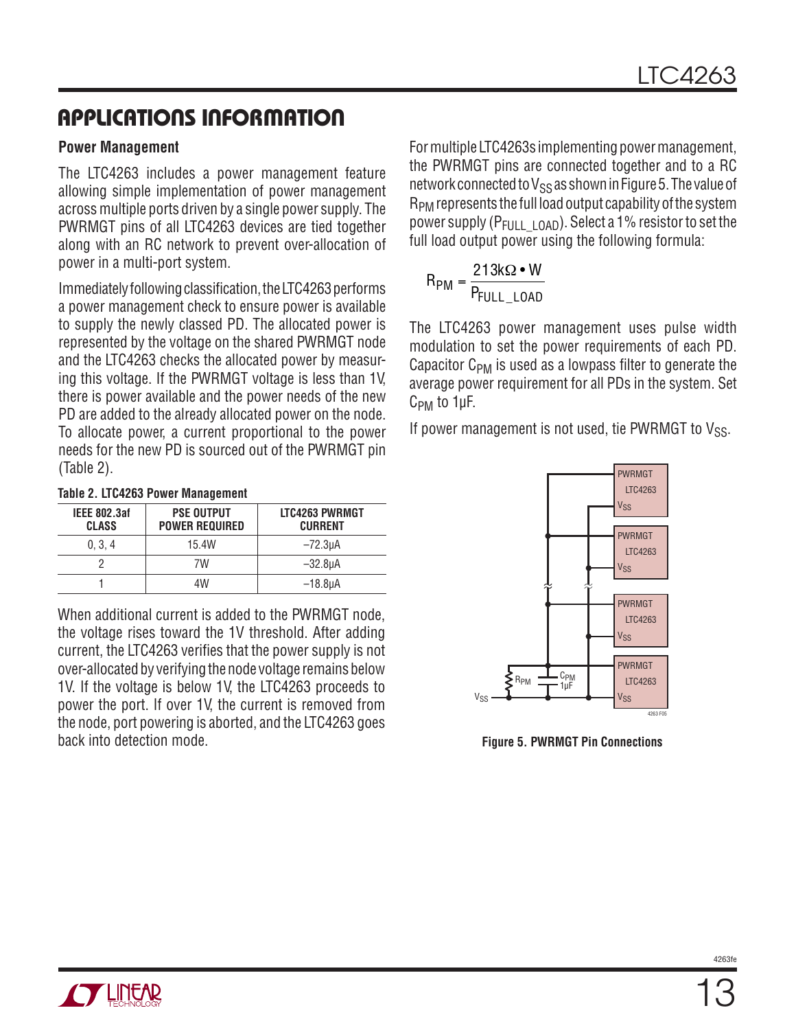#### **Power Management**

The LTC4263 includes a power management feature allowing simple implementation of power management across multiple ports driven by a single power supply. The PWRMGT pins of all LTC4263 devices are tied together along with an RC network to prevent over-allocation of power in a multi-port system.

Immediately following classification, the LTC4263 performs a power management check to ensure power is available to supply the newly classed PD. The allocated power is represented by the voltage on the shared PWRMGT node and the LTC4263 checks the allocated power by measuring this voltage. If the PWRMGT voltage is less than 1V, there is power available and the power needs of the new PD are added to the already allocated power on the node. To allocate power, a current proportional to the power needs for the new PD is sourced out of the PWRMGT pin (Table 2).

|  |  |  | Table 2. LTC4263 Power Management |
|--|--|--|-----------------------------------|
|--|--|--|-----------------------------------|

| <b>IEEE 802.3af</b><br><b>CLASS</b> | <b>PSE OUTPUT</b><br><b>POWER REQUIRED</b> | LTC4263 PWRMGT<br><b>CURRENT</b> |
|-------------------------------------|--------------------------------------------|----------------------------------|
| 0, 3, 4                             | 15.4W                                      | $-72.3µ$ A                       |
|                                     | 7W                                         | $-32.8µA$                        |
|                                     | 4W                                         | $-18.8\mu A$                     |

When additional current is added to the PWRMGT node, the voltage rises toward the 1V threshold. After adding current, the LTC4263 verifies that the power supply is not over-allocated by verifying the node voltage remains below 1V. If the voltage is below 1V, the LTC4263 proceeds to power the port. If over 1V, the current is removed from the node, port powering is aborted, and the LTC4263 goes back into detection mode. For multiple LTC4263s implementing power management, the PWRMGT pins are connected together and to a RC network connected to  $V_{SS}$  as shown in Figure 5. The value of RPM represents the full load output capability of the system power supply ( $P_{F|U}$ <sub>LOAD</sub>). Select a 1% resistor to set the full load output power using the following formula:

$$
R_{PM} = \frac{213k\Omega \cdot W}{P_{FULL\_LOAD}}
$$

The LTC4263 power management uses pulse width modulation to set the power requirements of each PD. Capacitor  $C_{PM}$  is used as a lowpass filter to generate the average power requirement for all PDs in the system. Set CPM to 1μF.

If power management is not used, tie PWRMGT to  $V_{SS}$ .



back into detection mode. **Figure 5. PWRMGT Pin Connections**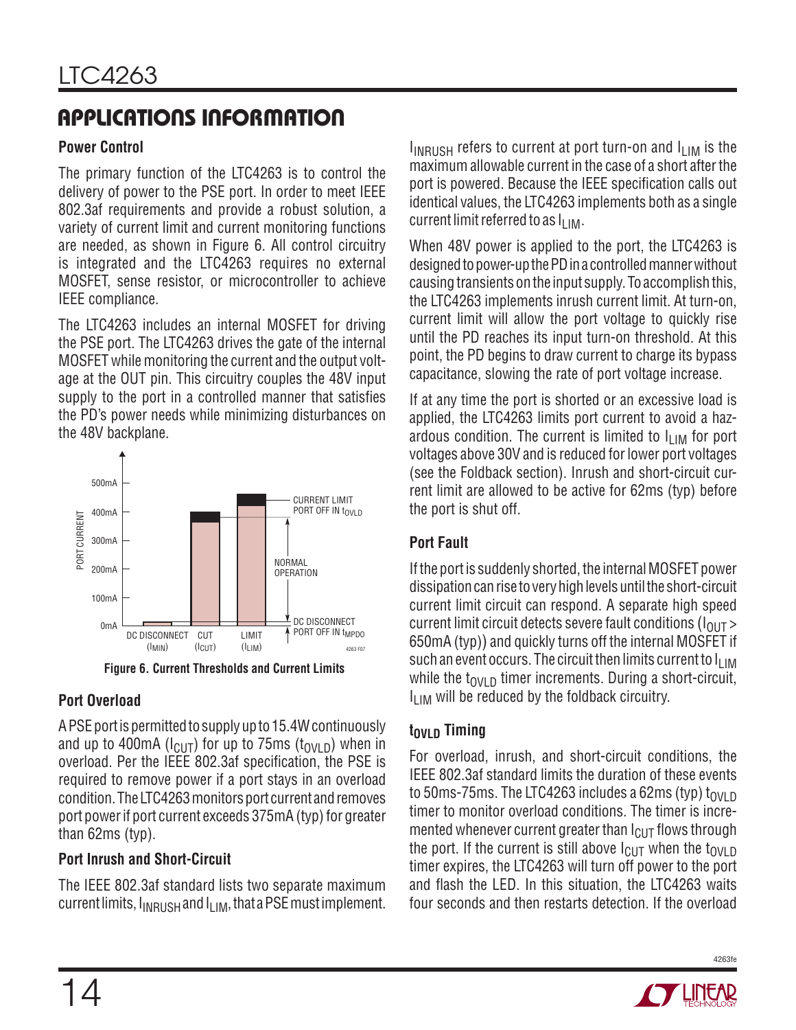### **Power Control**

The primary function of the LTC4263 is to control the delivery of power to the PSE port. In order to meet IEEE 802.3af requirements and provide a robust solution, a variety of current limit and current monitoring functions are needed, as shown in Figure 6. All control circuitry is integrated and the LTC4263 requires no external MOSFET, sense resistor, or microcontroller to achieve IEEE compliance.

The LTC4263 includes an internal MOSFET for driving the PSE port. The LTC4263 drives the gate of the internal MOSFET while monitoring the current and the output voltage at the OUT pin. This circuitry couples the 48V input supply to the port in a controlled manner that satisfies the PD's power needs while minimizing disturbances on the 48V backplane.



**Figure 6. Current Thresholds and Current Limits**

### **Port Overload**

A PSE port is permitted to supply up to 15.4W continuously and up to 400mA ( $I_{\text{Cl}}$ ) for up to 75ms ( $t_{\text{OVI}}$ <sub>D</sub>) when in overload. Per the IEEE 802.3af specification, the PSE is required to remove power if a port stays in an overload condition. The LTC4263 monitors port current and removes port power if port current exceeds 375mA (typ) for greater than 62ms (typ).

### **Port Inrush and Short-Circuit**

The IEEE 802.3af standard lists two separate maximum current limits,  $I_{INRUSH}$  and  $I_{IIM}$ , that a PSE must implement.  $I_{INRUSH}$  refers to current at port turn-on and  $I_{LIM}$  is the maximum allowable current in the case of a short after the port is powered. Because the IEEE specification calls out identical values, the LTC4263 implements both as a single current limit referred to as  $I_{\text{I IM}}$ .

When 48V power is applied to the port, the LTC4263 is designed to power-up the PD in a controlled manner without causing transients on the input supply. To accomplish this, the LTC4263 implements inrush current limit. At turn-on, current limit will allow the port voltage to quickly rise until the PD reaches its input turn-on threshold. At this point, the PD begins to draw current to charge its bypass capacitance, slowing the rate of port voltage increase.

If at any time the port is shorted or an excessive load is applied, the LTC4263 limits port current to avoid a hazardous condition. The current is limited to  $I_{LIM}$  for port voltages above 30V and is reduced for lower port voltages (see the Foldback section). Inrush and short-circuit current limit are allowed to be active for 62ms (typ) before the port is shut off.

### **Port Fault**

If the port is suddenly shorted, the internal MOSFET power dissipation can rise to very high levels until the short-circuit current limit circuit can respond. A separate high speed current limit circuit detects severe fault conditions ( $I<sub>OUT</sub>$ ) 650mA (typ)) and quickly turns off the internal MOSFET if such an event occurs. The circuit then limits current to  $I_{LIM}$ while the  $t_{\text{OVI}}$  p timer increments. During a short-circuit,  $I<sub>11M</sub>$  will be reduced by the foldback circuitry.

### **tov<sub>LD</sub>** Timing

For overload, inrush, and short-circuit conditions, the IEEE 802.3af standard limits the duration of these events to 50ms-75ms. The LTC4263 includes a 62ms (typ)  $t_{0}$ <sub>NID</sub> timer to monitor overload conditions. The timer is incremented whenever current greater than  $I_{\text{Cl}}$  flows through the port. If the current is still above  $I_{\text{ClIT}}$  when the  $t_{\text{OVI}}$  p timer expires, the LTC4263 will turn off power to the port and flash the LED. In this situation, the LTC4263 waits four seconds and then restarts detection. If the overload

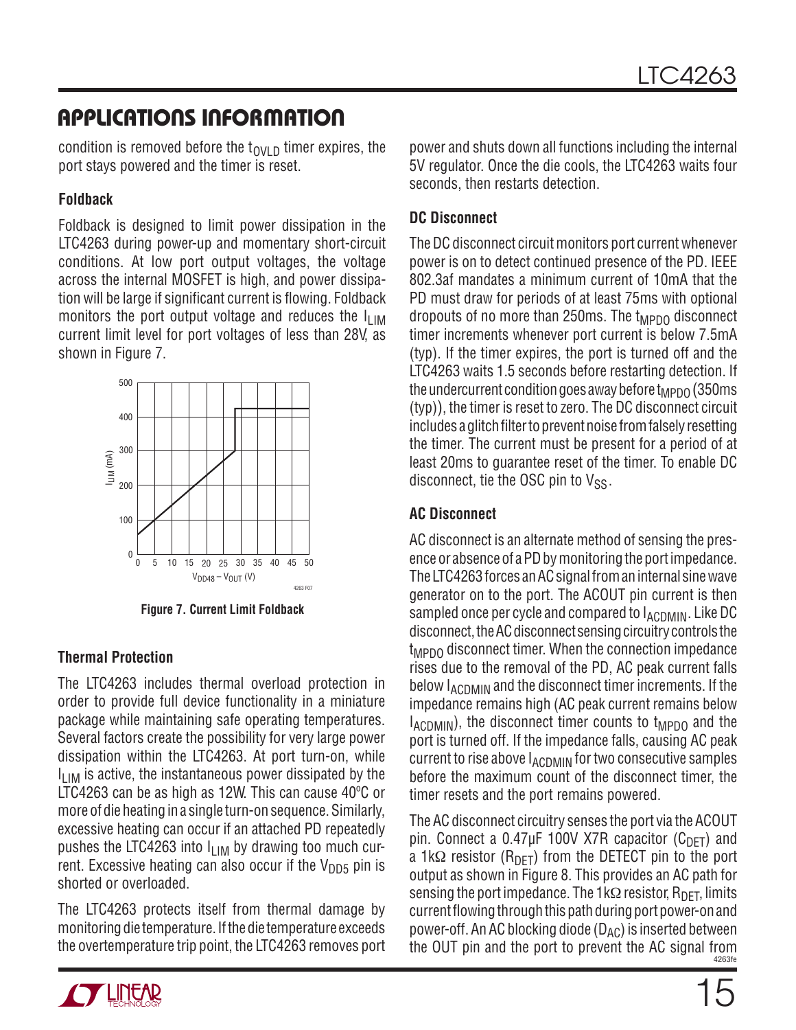condition is removed before the  $t_{\text{OVI}}$  p timer expires, the port stays powered and the timer is reset.

#### **Foldback**

Foldback is designed to limit power dissipation in the LTC4263 during power-up and momentary short-circuit conditions. At low port output voltages, the voltage across the internal MOSFET is high, and power dissipation will be large if significant current is flowing. Foldback monitors the port output voltage and reduces the  $I_{LIM}$ current limit level for port voltages of less than 28V, as shown in Figure 7.



**Figure 7. Current Limit Foldback**

### **Thermal Protection**

The LTC4263 includes thermal overload protection in order to provide full device functionality in a miniature package while maintaining safe operating temperatures. Several factors create the possibility for very large power dissipation within the LTC4263. At port turn-on, while  $I_{\text{I} \text{I} \text{M}}$  is active, the instantaneous power dissipated by the LTC4263 can be as high as 12W. This can cause 40ºC or more of die heating in a single turn-on sequence. Similarly, excessive heating can occur if an attached PD repeatedly pushes the LTC4263 into  $I_{LIM}$  by drawing too much current. Excessive heating can also occur if the  $V_{DD5}$  pin is shorted or overloaded.

The LTC4263 protects itself from thermal damage by monitoring die temperature. If the die temperature exceeds the overtemperature trip point, the LTC4263 removes port



### **DC Disconnect**

The DC disconnect circuit monitors port current whenever power is on to detect continued presence of the PD. IEEE 802.3af mandates a minimum current of 10mA that the PD must draw for periods of at least 75ms with optional dropouts of no more than 250ms. The  $t_{MPDO}$  disconnect timer increments whenever port current is below 7.5mA (typ). If the timer expires, the port is turned off and the LTC4263 waits 1.5 seconds before restarting detection. If the undercurrent condition goes away before  $t_{\text{MPDO}}$  (350ms) (typ)), the timer is reset to zero. The DC disconnect circuit includes a glitch filter to prevent noise from falsely resetting the timer. The current must be present for a period of at least 20ms to guarantee reset of the timer. To enable DC disconnect, tie the OSC pin to  $V_{SS}$ .

### **AC Disconnect**

AC disconnect is an alternate method of sensing the presence or absence of a PD by monitoring the port impedance. The LTC4263 forces an AC signal from an internal sine wave generator on to the port. The ACOUT pin current is then sampled once per cycle and compared to  $I_{\text{ACDMIN}}$ . Like DC disconnect, the AC disconnect sensing circuitry controls the t<sub>MPDO</sub> disconnect timer. When the connection impedance rises due to the removal of the PD, AC peak current falls below  $I_{\text{ACDMIN}}$  and the disconnect timer increments. If the impedance remains high (AC peak current remains below  $I_{\text{ACDMIN}}$ , the disconnect timer counts to  $t_{\text{MPDO}}$  and the port is turned off. If the impedance falls, causing AC peak current to rise above  $I_{\text{ACDMIN}}$  for two consecutive samples before the maximum count of the disconnect timer, the timer resets and the port remains powered.

4263fe The AC disconnect circuitry senses the port via the ACOUT pin. Connect a 0.47µF 100V X7R capacitor  $(C_{DFT})$  and a 1kΩ resistor (R<sub>DFT</sub>) from the DETECT pin to the port output as shown in Figure 8. This provides an AC path for sensing the port impedance. The 1kΩ resistor,  $R_{\text{DFT}}$ , limits current flowing through this path during port power-on and power-off. An AC blocking diode  $(D_{AC})$  is inserted between the OUT pin and the port to prevent the AC signal from

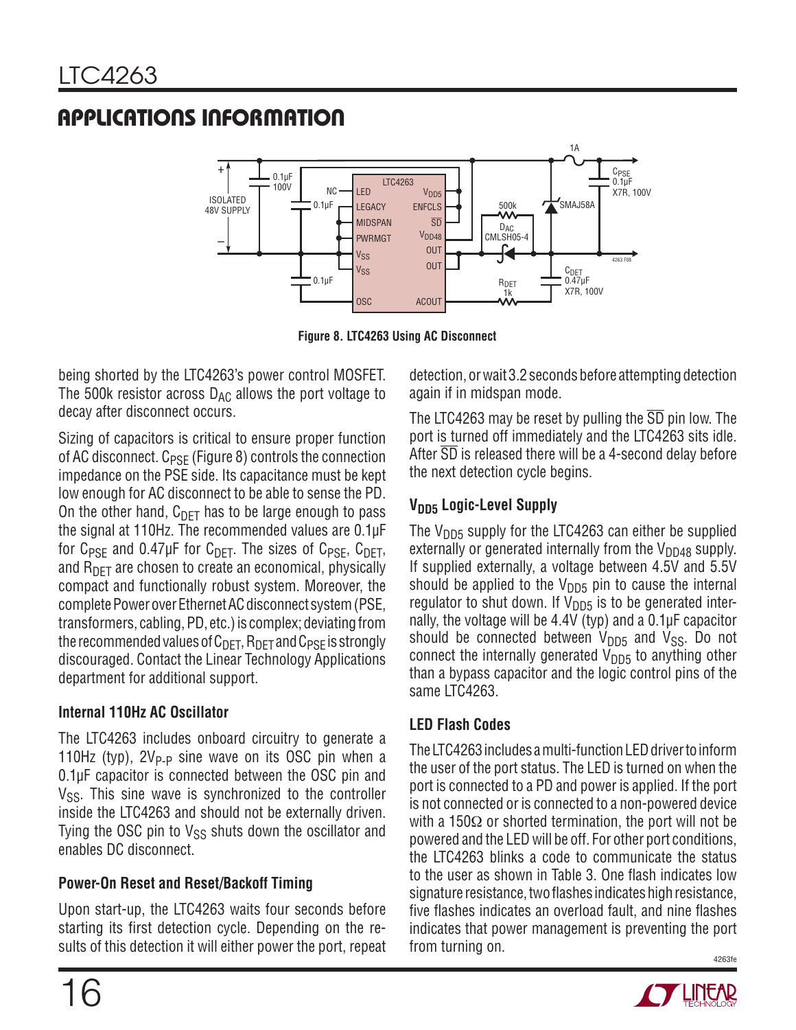

**Figure 8. LTC4263 Using AC Disconnect**

being shorted by the LTC4263's power control MOSFET. The 500k resistor across  $D_{AC}$  allows the port voltage to decay after disconnect occurs.

Sizing of capacitors is critical to ensure proper function of AC disconnect. C<sub>PSE</sub> (Figure 8) controls the connection impedance on the PSE side. Its capacitance must be kept low enough for AC disconnect to be able to sense the PD. On the other hand,  $C_{\text{DFT}}$  has to be large enough to pass the signal at 110Hz. The recommended values are 0.1μF for  $C_{PSF}$  and 0.47µF for  $C_{DFT}$ . The sizes of  $C_{PSF}$ ,  $C_{DFT}$ , and  $R_{\text{DET}}$  are chosen to create an economical, physically compact and functionally robust system. Moreover, the complete Power over Ethernet AC disconnect system (PSE, transformers, cabling, PD, etc.) is complex; deviating from the recommended values of  $C_{\text{DET}}$ ,  $R_{\text{DET}}$  and  $C_{\text{PSF}}$  is strongly discouraged. Contact the Linear Technology Applications department for additional support.

### **Internal 110Hz AC Oscillator**

The LTC4263 includes onboard circuitry to generate a 110Hz (typ),  $2V_{P-P}$  sine wave on its OSC pin when a 0.1μF capacitor is connected between the OSC pin and  $V_{SS}$ . This sine wave is synchronized to the controller inside the LTC4263 and should not be externally driven. Tying the OSC pin to  $V_{SS}$  shuts down the oscillator and enables DC disconnect.

### **Power-On Reset and Reset/Backoff Timing**

Upon start-up, the LTC4263 waits four seconds before starting its first detection cycle. Depending on the results of this detection it will either power the port, repeat detection, or wait 3.2 seconds before attempting detection again if in midspan mode.

The LTC4263 may be reset by pulling the SD pin low. The port is turned off immediately and the LTC4263 sits idle. After SD is released there will be a 4-second delay before the next detection cycle begins.

### **V<sub>DD5</sub>** Logic-Level Supply

The  $V_{DD5}$  supply for the LTC4263 can either be supplied externally or generated internally from the  $V_{DD48}$  supply. If supplied externally, a voltage between 4.5V and 5.5V should be applied to the  $V_{DD5}$  pin to cause the internal regulator to shut down. If  $V_{DD5}$  is to be generated internally, the voltage will be 4.4V (typ) and a 0.1μF capacitor should be connected between  $V_{DD5}$  and  $V_{SS}$ . Do not connect the internally generated  $V_{DD5}$  to anything other than a bypass capacitor and the logic control pins of the same LTC4263.

### **LED Flash Codes**

4263fe The LTC4263 includes a multi-function LED driver to inform the user of the port status. The LED is turned on when the port is connected to a PD and power is applied. If the port is not connected or is connected to a non-powered device with a 150 $\Omega$  or shorted termination, the port will not be powered and the LED will be off. For other port conditions, the LTC4263 blinks a code to communicate the status to the user as shown in Table 3. One flash indicates low signature resistance, two flashes indicates high resistance, five flashes indicates an overload fault, and nine flashes indicates that power management is preventing the port from turning on.



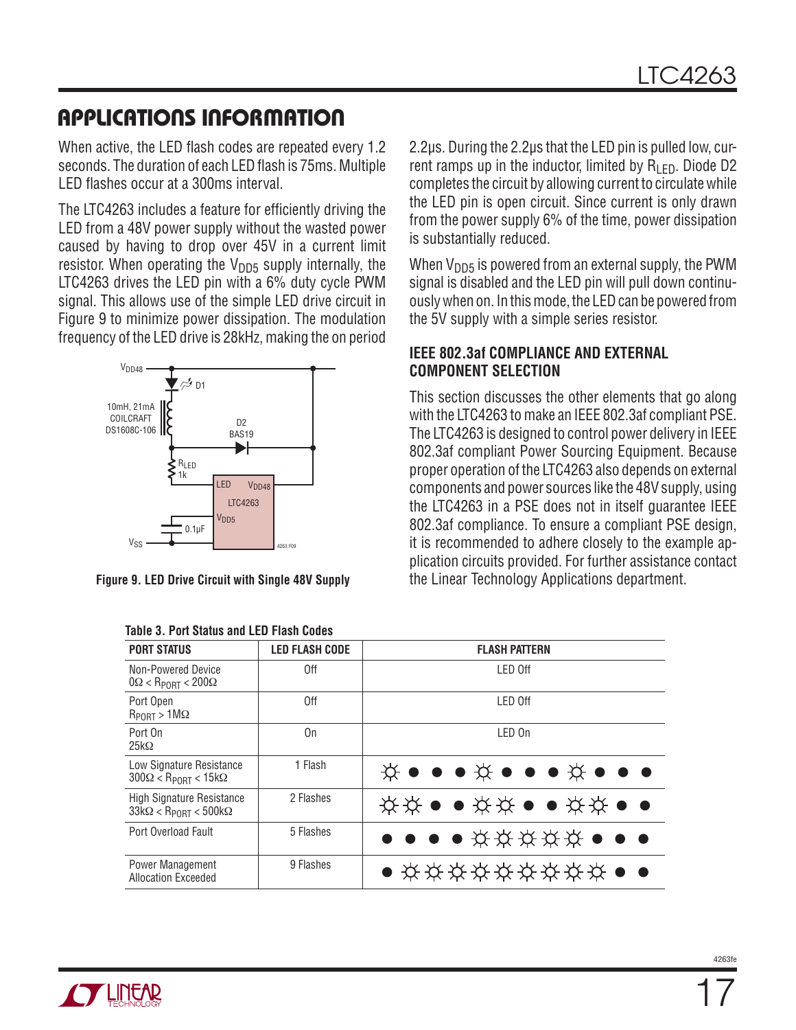When active, the LED flash codes are repeated every 1.2 seconds. The duration of each LED flash is 75ms. Multiple LED flashes occur at a 300ms interval.

The LTC4263 includes a feature for efficiently driving the LED from a 48V power supply without the wasted power caused by having to drop over 45V in a current limit resistor. When operating the  $V_{\text{DD5}}$  supply internally, the LTC4263 drives the LED pin with a 6% duty cycle PWM signal. This allows use of the simple LED drive circuit in Figure 9 to minimize power dissipation. The modulation frequency of the LED drive is 28kHz, making the on period



| <b>PORT STATUS</b>                                                             | <b>LED FLASH CODE</b> | <b>FLASH PATTERN</b>                                                                                                               |  |  |  |  |  |  |  |
|--------------------------------------------------------------------------------|-----------------------|------------------------------------------------------------------------------------------------------------------------------------|--|--|--|--|--|--|--|
| Non-Powered Device<br>$0\Omega < R_{\text{PORT}} < 200\Omega$                  | 0ff                   | LED Off                                                                                                                            |  |  |  |  |  |  |  |
| Port Open<br>$R_{PORT} > 1 M\Omega$                                            | 0ff                   | LED Off                                                                                                                            |  |  |  |  |  |  |  |
| Port On<br>$25k\Omega$                                                         | On                    | LED On                                                                                                                             |  |  |  |  |  |  |  |
| Low Signature Resistance<br>$300\Omega <$ Rpnrt < 15k $\Omega$                 | 1 Flash               | $\breve{\mathbf{x}} \bullet \bullet \bullet \breve{\mathbf{x}} \bullet \bullet \bullet \breve{\mathbf{x}} \bullet \bullet \bullet$ |  |  |  |  |  |  |  |
| <b>High Signature Resistance</b><br>$33k\Omega < R_{\text{PORT}} < 500k\Omega$ | 2 Flashes             | <b>☆☆●●☆☆●●☆☆●●</b>                                                                                                                |  |  |  |  |  |  |  |
| Port Overload Fault                                                            | 5 Flashes             | $\bullet$ $\bullet$ $\bullet$ $\star$ $\star$ $\star$ $\star$ $\star$ $\star$ $\bullet$ $\bullet$ $\bullet$                        |  |  |  |  |  |  |  |
| Power Management<br><b>Allocation Exceeded</b>                                 | 9 Flashes             | $\bullet$ * * * * * * * * * * $\bullet$ $\bullet$                                                                                  |  |  |  |  |  |  |  |

|  | <b>Table 3. Port Status and LED Flash Codes</b> |  |  |  |  |  |  |
|--|-------------------------------------------------|--|--|--|--|--|--|
|--|-------------------------------------------------|--|--|--|--|--|--|

2.2μs. During the 2.2μs that the LED pin is pulled low, current ramps up in the inductor, limited by  $R_{\text{LED}}$ . Diode D2 completes the circuit by allowing current to circulate while the LED pin is open circuit. Since current is only drawn from the power supply 6% of the time, power dissipation is substantially reduced.

When  $V_{\text{DD5}}$  is powered from an external supply, the PWM signal is disabled and the LED pin will pull down continuously when on. In this mode, the LED can be powered from the 5V supply with a simple series resistor.

#### **IEEE 802.3af COMPLIANCE AND EXTERNAL COMPONENT SELECTION**

This section discusses the other elements that go along with the LTC4263 to make an IEEE 802.3af compliant PSE. The LTC4263 is designed to control power delivery in IEEE 802.3af compliant Power Sourcing Equipment. Because proper operation of the LTC4263 also depends on external components and power sources like the 48V supply, using the LTC4263 in a PSE does not in itself guarantee IEEE 802.3af compliance. To ensure a compliant PSE design, it is recommended to adhere closely to the example application circuits provided. For further assistance contact **Figure 9. LED Drive Circuit with Single 48V Supply** the Linear Technology Applications department.

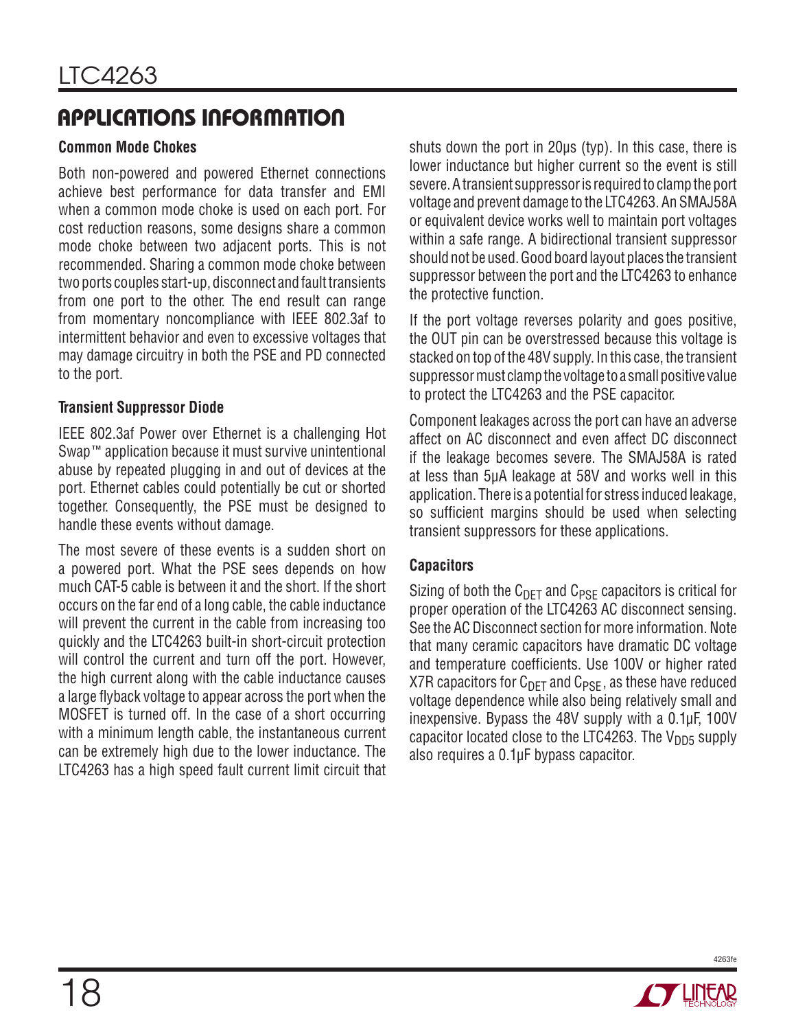#### **Common Mode Chokes**

Both non-powered and powered Ethernet connections achieve best performance for data transfer and EMI when a common mode choke is used on each port. For cost reduction reasons, some designs share a common mode choke between two adjacent ports. This is not recommended. Sharing a common mode choke between two ports couples start-up, disconnect and fault transients from one port to the other. The end result can range from momentary noncompliance with IEEE 802.3af to intermittent behavior and even to excessive voltages that may damage circuitry in both the PSE and PD connected to the port.

#### **Transient Suppressor Diode**

IEEE 802.3af Power over Ethernet is a challenging Hot Swap™ application because it must survive unintentional abuse by repeated plugging in and out of devices at the port. Ethernet cables could potentially be cut or shorted together. Consequently, the PSE must be designed to handle these events without damage.

The most severe of these events is a sudden short on a powered port. What the PSE sees depends on how much CAT-5 cable is between it and the short. If the short occurs on the far end of a long cable, the cable inductance will prevent the current in the cable from increasing too quickly and the LTC4263 built-in short-circuit protection will control the current and turn off the port. However, the high current along with the cable inductance causes a large flyback voltage to appear across the port when the MOSFET is turned off. In the case of a short occurring with a minimum length cable, the instantaneous current can be extremely high due to the lower inductance. The LTC4263 has a high speed fault current limit circuit that shuts down the port in 20μs (typ). In this case, there is lower inductance but higher current so the event is still severe. A transient suppressor is required to clamp the port voltage and prevent damage to the LTC4263. An SMAJ58A or equivalent device works well to maintain port voltages within a safe range. A bidirectional transient suppressor should not be used. Good board layout places the transient suppressor between the port and the LTC4263 to enhance the protective function.

If the port voltage reverses polarity and goes positive, the OUT pin can be overstressed because this voltage is stacked on top of the 48V supply. In this case, the transient suppressor must clamp the voltage to a small positive value to protect the LTC4263 and the PSE capacitor.

Component leakages across the port can have an adverse affect on AC disconnect and even affect DC disconnect if the leakage becomes severe. The SMAJ58A is rated at less than 5μA leakage at 58V and works well in this application. There is a potential for stress induced leakage, so sufficient margins should be used when selecting transient suppressors for these applications.

### **Capacitors**

Sizing of both the  $C_{DET}$  and  $C_{PSE}$  capacitors is critical for proper operation of the LTC4263 AC disconnect sensing. See the AC Disconnect section for more information. Note that many ceramic capacitors have dramatic DC voltage and temperature coefficients. Use 100V or higher rated X7R capacitors for  $C_{\text{DFT}}$  and  $C_{\text{PSF}}$ , as these have reduced voltage dependence while also being relatively small and inexpensive. Bypass the 48V supply with a 0.1μF, 100V capacitor located close to the LTC4263. The  $V_{DD5}$  supply also requires a 0.1μF bypass capacitor.

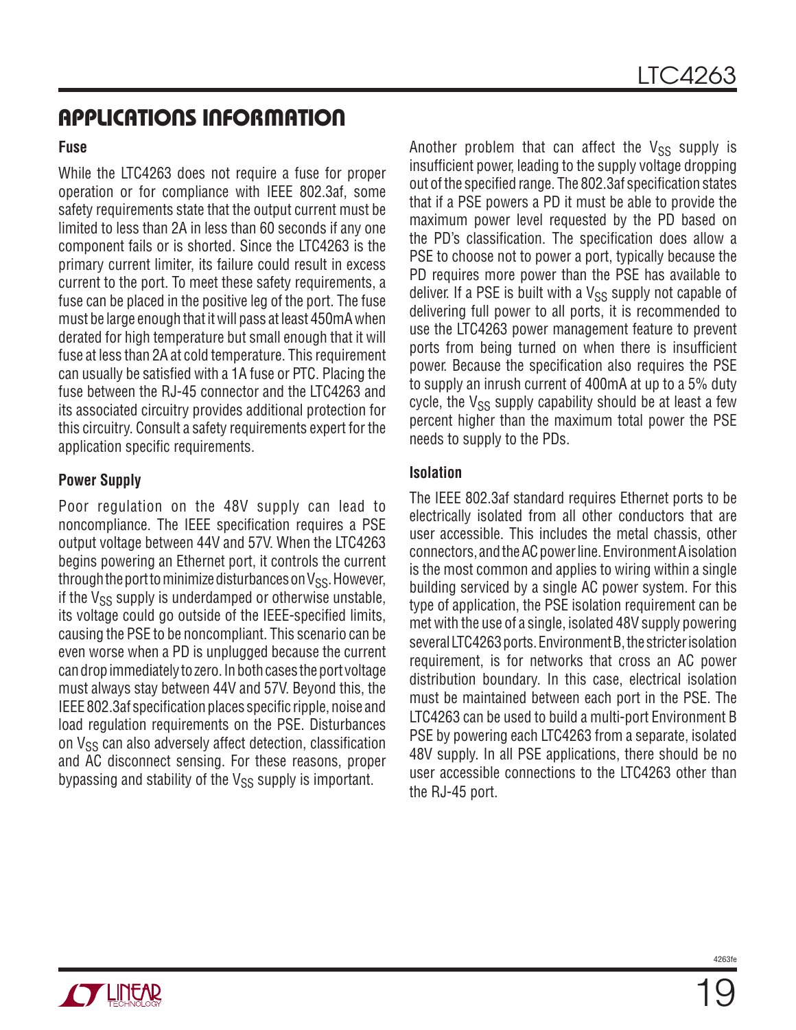#### **Fuse**

While the LTC4263 does not require a fuse for proper operation or for compliance with IEEE 802.3af, some safety requirements state that the output current must be limited to less than 2A in less than 60 seconds if any one component fails or is shorted. Since the LTC4263 is the primary current limiter, its failure could result in excess current to the port. To meet these safety requirements, a fuse can be placed in the positive leg of the port. The fuse must be large enough that it will pass at least 450mA when derated for high temperature but small enough that it will fuse at less than 2A at cold temperature. This requirement can usually be satisfied with a 1A fuse or PTC. Placing the fuse between the RJ-45 connector and the LTC4263 and its associated circuitry provides additional protection for this circuitry. Consult a safety requirements expert for the application specific requirements.

#### **Power Supply**

Poor regulation on the 48V supply can lead to noncompliance. The IEEE specification requires a PSE output voltage between 44V and 57V. When the LTC4263 begins powering an Ethernet port, it controls the current through the port to minimize disturbances on  $V_{SS}$ . However, if the  $V_{SS}$  supply is underdamped or otherwise unstable, its voltage could go outside of the IEEE-specified limits, causing the PSE to be noncompliant. This scenario can be even worse when a PD is unplugged because the current can drop immediately to zero. In both cases the port voltage must always stay between 44V and 57V. Beyond this, the IEEE 802.3af specification places specific ripple, noise and load regulation requirements on the PSE. Disturbances on V<sub>SS</sub> can also adversely affect detection, classification and AC disconnect sensing. For these reasons, proper bypassing and stability of the  $V_{SS}$  supply is important.

Another problem that can affect the  $V_{SS}$  supply is insufficient power, leading to the supply voltage dropping out of the specified range. The 802.3af specification states that if a PSE powers a PD it must be able to provide the maximum power level requested by the PD based on the PD's classification. The specification does allow a PSE to choose not to power a port, typically because the PD requires more power than the PSE has available to deliver. If a PSE is built with a  $V_{SS}$  supply not capable of delivering full power to all ports, it is recommended to use the LTC4263 power management feature to prevent ports from being turned on when there is insufficient power. Because the specification also requires the PSE to supply an inrush current of 400mA at up to a 5% duty cycle, the  $V_{SS}$  supply capability should be at least a few percent higher than the maximum total power the PSE needs to supply to the PDs.

#### **Isolation**

The IEEE 802.3af standard requires Ethernet ports to be electrically isolated from all other conductors that are user accessible. This includes the metal chassis, other connectors, and the AC power line. Environment A isolation is the most common and applies to wiring within a single building serviced by a single AC power system. For this type of application, the PSE isolation requirement can be met with the use of a single, isolated 48V supply powering several LTC4263 ports. Environment B, the stricter isolation requirement, is for networks that cross an AC power distribution boundary. In this case, electrical isolation must be maintained between each port in the PSE. The LTC4263 can be used to build a multi-port Environment B PSE by powering each LTC4263 from a separate, isolated 48V supply. In all PSE applications, there should be no user accessible connections to the LTC4263 other than the RJ-45 port.

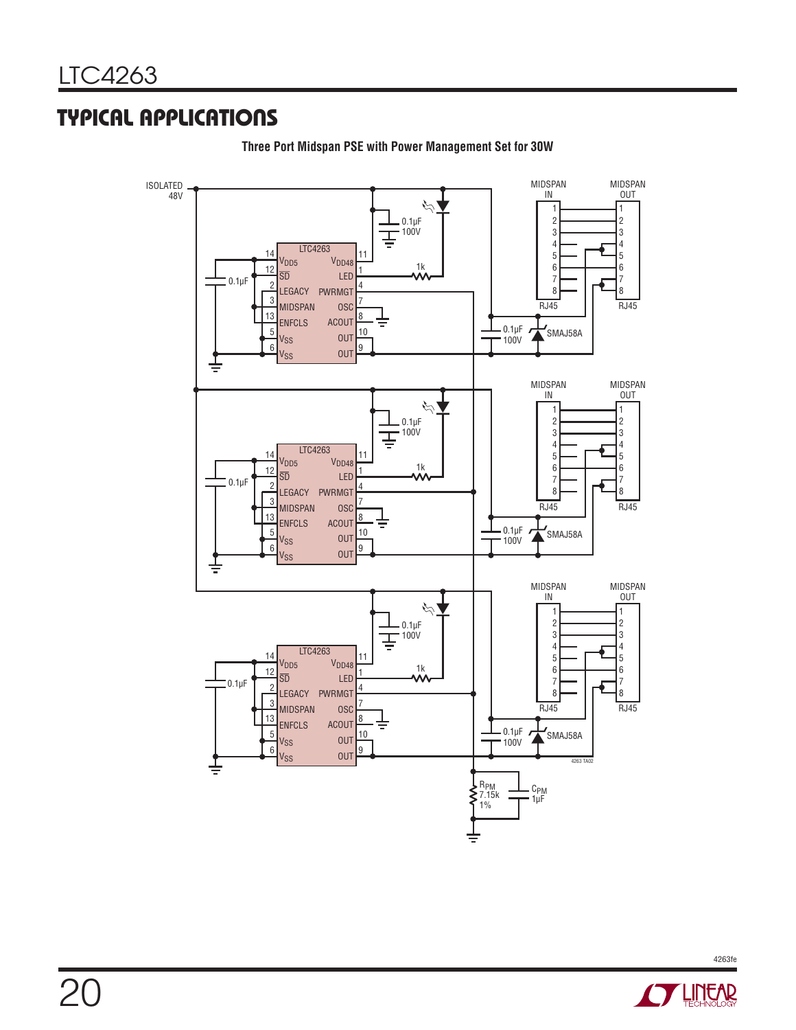### **TYPICAL APPLICATIONS**



**Three Port Midspan PSE with Power Management Set for 30W**

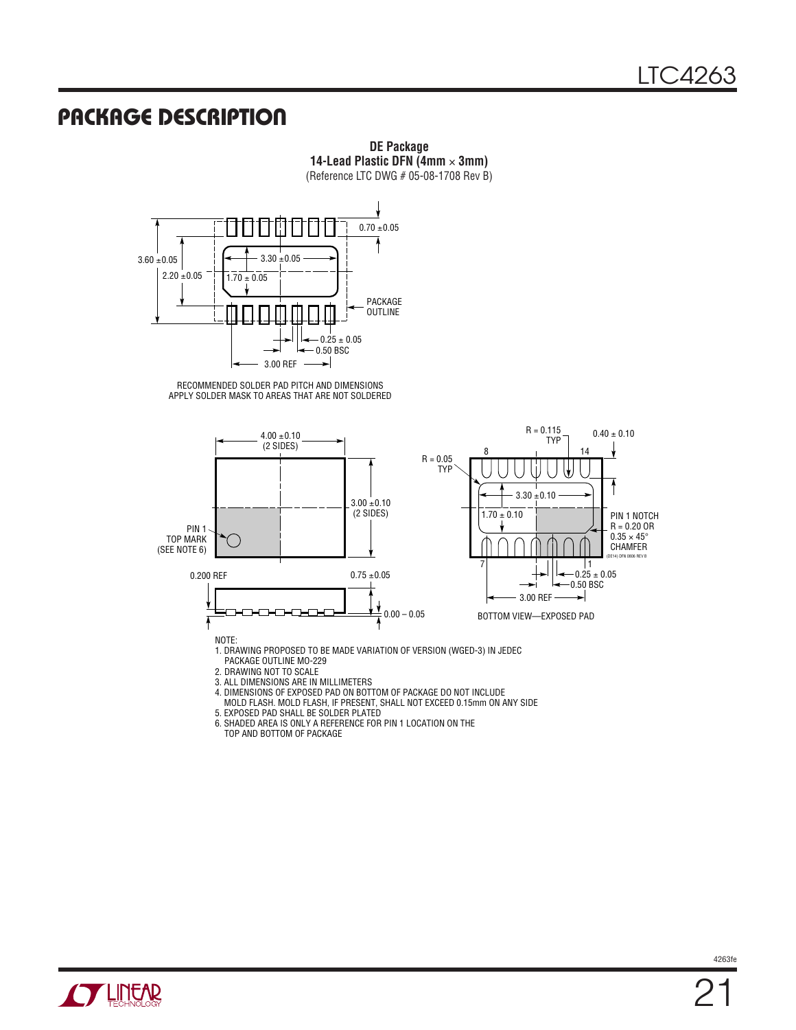### **PACKAGE DESCRIPTION**



**DE Package 14-Lead Plastic DFN (4mm** × **3mm)**

3. ALL DIMENSIONS ARE IN MILLIMETERS

4. DIMENSIONS OF EXPOSED PAD ON BOTTOM OF PACKAGE DO NOT INCLUDE MOLD FLASH. MOLD FLASH, IF PRESENT, SHALL NOT EXCEED 0.15mm ON ANY SIDE

5. EXPOSED PAD SHALL BE SOLDER PLATED

6. SHADED AREA IS ONLY A REFERENCE FOR PIN 1 LOCATION ON THE TOP AND BOTTOM OF PACKAGE

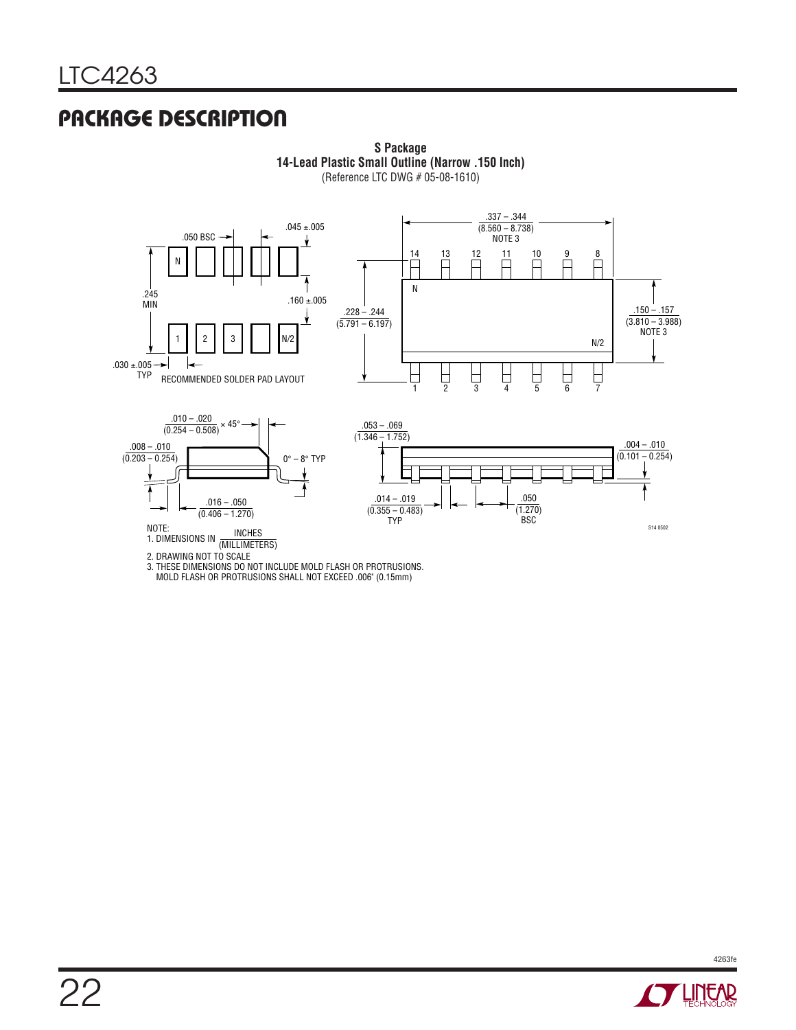# **PACKAGE DESCRIPTION**



**S Package 14-Lead Plastic Small Outline (Narrow .150 Inch)** (Reference LTC DWG # 05-08-1610)

MOLD FLASH OR PROTRUSIONS SHALL NOT EXCEED .006" (0.15mm)

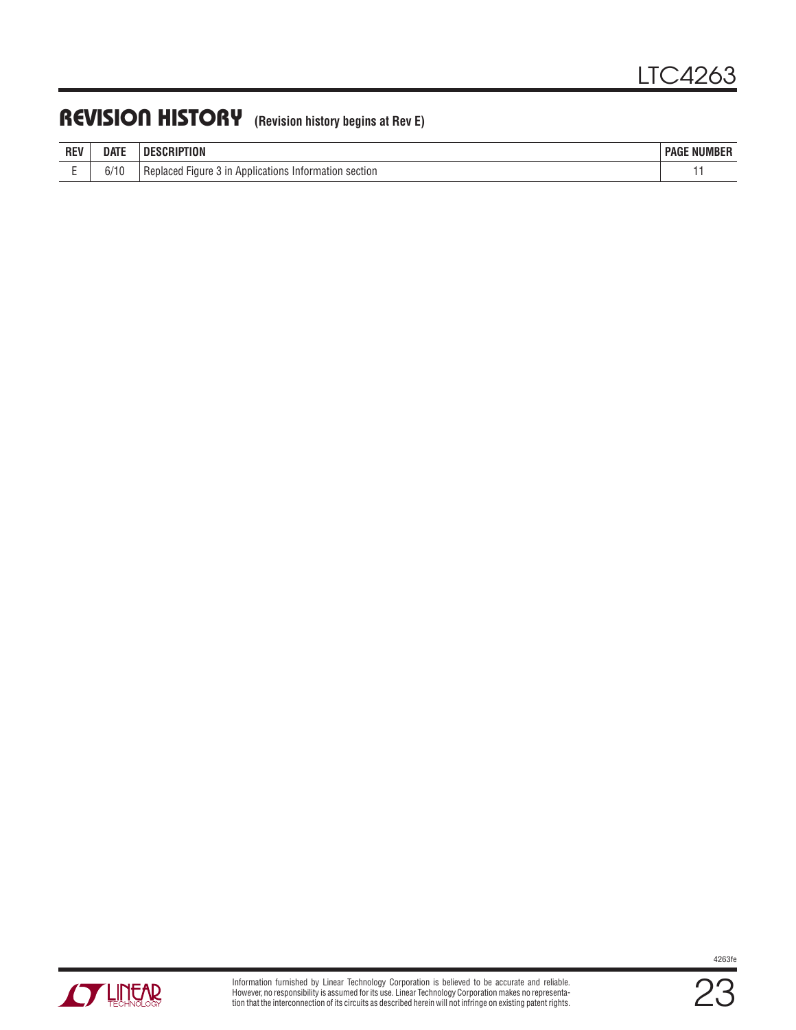### **REVISION HISTORY (Revision history begins at Rev E)**

| <b>DE</b><br>nc. | date                  | nı<br>'IUN                                                                            | $-$ - $-$ - $-$<br>PAGE<br>WUMBL. |
|------------------|-----------------------|---------------------------------------------------------------------------------------|-----------------------------------|
|                  | 0.140<br>11<br>V/ I V | 3 in Applications<br>12nn<br>section<br>0 <sup>0</sup><br>Fiaure<br>nation<br>nuurauu |                                   |